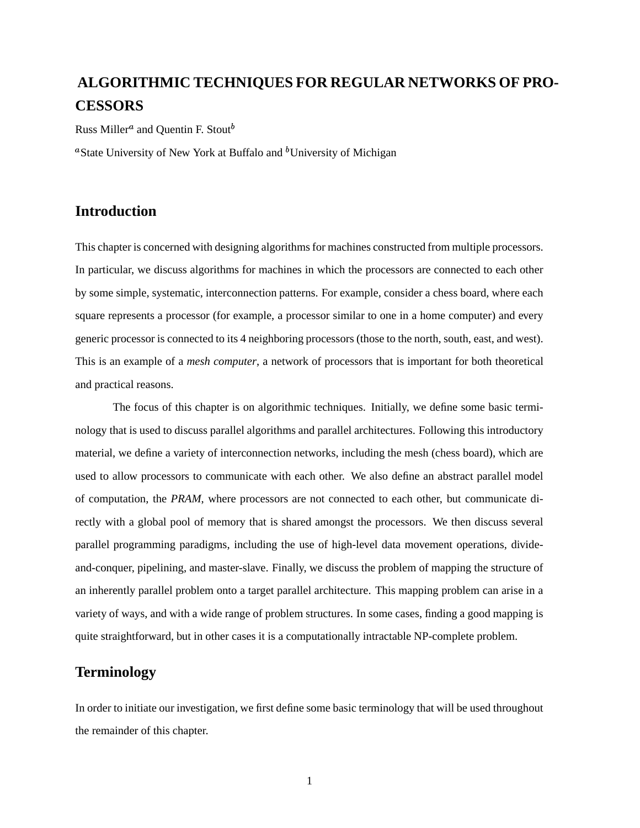# **ALGORITHMIC TECHNIQUES FOR REGULAR NETWORKS OF PRO-CESSORS**

Russ Miller<sup>a</sup> and Quentin F. Stout<sup>b</sup>

<sup>a</sup>State University of New York at Buffalo and <sup>b</sup>University of Michigan

# **Introduction**

This chapter is concerned with designing algorithms for machines constructed from multiple processors. In particular, we discuss algorithms for machines in which the processors are connected to each other by some simple, systematic, interconnection patterns. For example, consider a chess board, where each square represents a processor (for example, a processor similar to one in a home computer) and every generic processor is connected to its 4 neighboring processors (those to the north, south, east, and west). This is an example of a *mesh computer*, a network of processors that is important for both theoretical and practical reasons.

The focus of this chapter is on algorithmic techniques. Initially, we define some basic terminology that is used to discuss parallel algorithms and parallel architectures. Following this introductory material, we define a variety of interconnection networks, including the mesh (chess board), which are used to allow processors to communicate with each other. We also define an abstract parallel model of computation, the *PRAM*, where processors are not connected to each other, but communicate directly with a global pool of memory that is shared amongst the processors. We then discuss several parallel programming paradigms, including the use of high-level data movement operations, divideand-conquer, pipelining, and master-slave. Finally, we discuss the problem of mapping the structure of an inherently parallel problem onto a target parallel architecture. This mapping problem can arise in a variety of ways, and with a wide range of problem structures. In some cases, finding a good mapping is quite straightforward, but in other cases it is a computationally intractable NP-complete problem.

### **Terminology**

In order to initiate our investigation, we first define some basic terminology that will be used throughout the remainder of this chapter.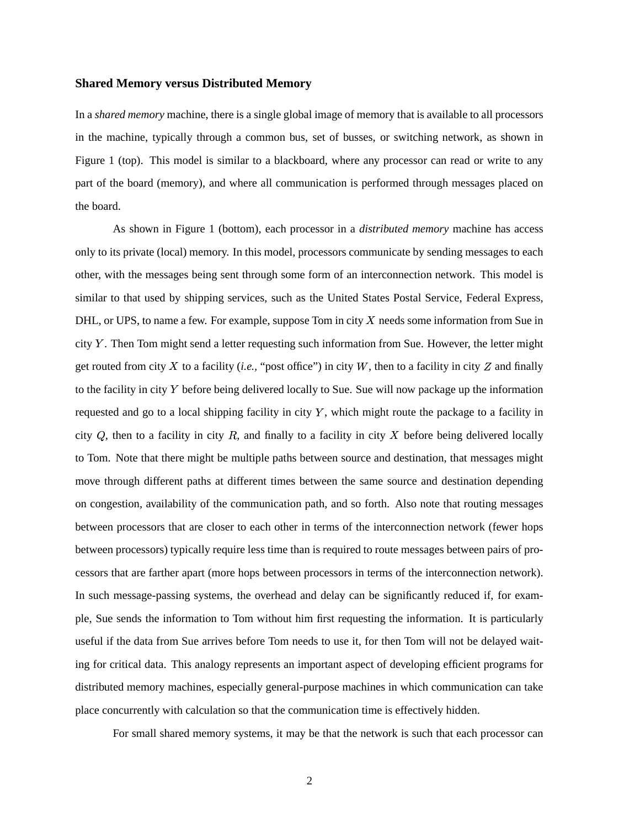#### **Shared Memory versus Distributed Memory**

In a *shared memory* machine, there is a single global image of memory that is available to all processors in the machine, typically through a common bus, set of busses, or switching network, as shown in Figure 1 (top). This model is similar to a blackboard, where any processor can read or write to any part of the board (memory), and where all communication is performed through messages placed on the board.

As shown in Figure 1 (bottom), each processor in a *distributed memory* machine has access only to its private (local) memory. In this model, processors communicate by sending messages to each other, with the messages being sent through some form of an interconnection network. This model is similar to that used by shipping services, such as the United States Postal Service, Federal Express, DHL, or UPS, to name a few. For example, suppose Tom in city  $X$  needs some information from Sue in city  $Y$ . Then Tom might send a letter requesting such information from Sue. However, the letter might get routed from city X to a facility (*i.e.*, "post office") in city W, then to a facility in city Z and finally to the facility in city  $Y$  before being delivered locally to Sue. Sue will now package up the information requested and go to a local shipping facility in city  $Y$ , which might route the package to a facility in city  $Q$ , then to a facility in city R, and finally to a facility in city X before being delivered locally to Tom. Note that there might be multiple paths between source and destination, that messages might move through different paths at different times between the same source and destination depending on congestion, availability of the communication path, and so forth. Also note that routing messages between processors that are closer to each other in terms of the interconnection network (fewer hops between processors) typically require less time than is required to route messages between pairs of processors that are farther apart (more hops between processors in terms of the interconnection network). In such message-passing systems, the overhead and delay can be significantly reduced if, for example, Sue sends the information to Tom without him first requesting the information. It is particularly useful if the data from Sue arrives before Tom needs to use it, for then Tom will not be delayed waiting for critical data. This analogy represents an important aspect of developing efficient programs for distributed memory machines, especially general-purpose machines in which communication can take place concurrently with calculation so that the communication time is effectively hidden.

For small shared memory systems, it may be that the network is such that each processor can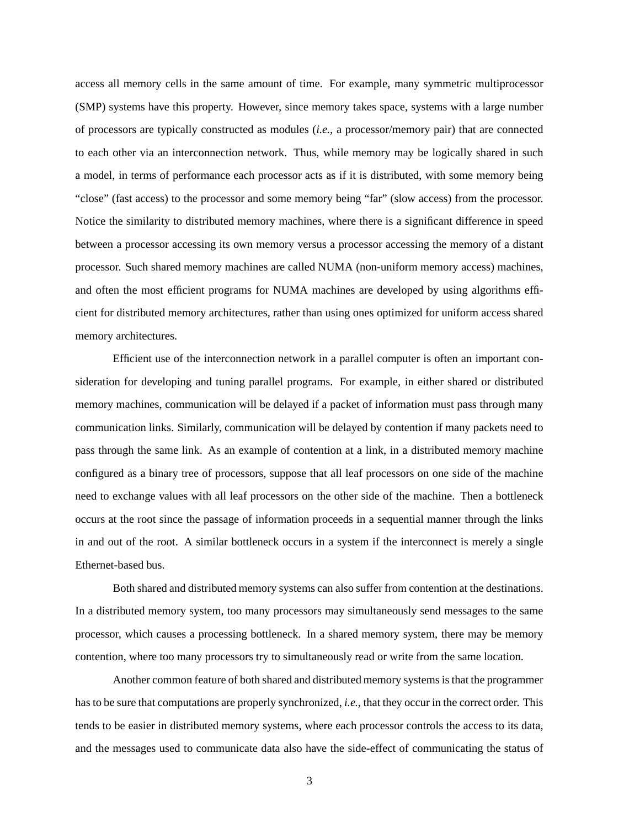access all memory cells in the same amount of time. For example, many symmetric multiprocessor (SMP) systems have this property. However, since memory takes space, systems with a large number of processors are typically constructed as modules (*i.e.*, a processor/memory pair) that are connected to each other via an interconnection network. Thus, while memory may be logically shared in such a model, in terms of performance each processor acts as if it is distributed, with some memory being "close" (fast access) to the processor and some memory being "far" (slow access) from the processor. Notice the similarity to distributed memory machines, where there is a significant difference in speed between a processor accessing its own memory versus a processor accessing the memory of a distant processor. Such shared memory machines are called NUMA (non-uniform memory access) machines, and often the most efficient programs for NUMA machines are developed by using algorithms efficient for distributed memory architectures, rather than using ones optimized for uniform access shared memory architectures.

Efficient use of the interconnection network in a parallel computer is often an important consideration for developing and tuning parallel programs. For example, in either shared or distributed memory machines, communication will be delayed if a packet of information must pass through many communication links. Similarly, communication will be delayed by contention if many packets need to pass through the same link. As an example of contention at a link, in a distributed memory machine configured as a binary tree of processors, suppose that all leaf processors on one side of the machine need to exchange values with all leaf processors on the other side of the machine. Then a bottleneck occurs at the root since the passage of information proceeds in a sequential manner through the links in and out of the root. A similar bottleneck occurs in a system if the interconnect is merely a single Ethernet-based bus.

Both shared and distributed memory systems can also suffer from contention at the destinations. In a distributed memory system, too many processors may simultaneously send messages to the same processor, which causes a processing bottleneck. In a shared memory system, there may be memory contention, where too many processors try to simultaneously read or write from the same location.

Another common feature of both shared and distributed memory systemsisthat the programmer has to be sure that computations are properly synchronized, *i.e.*, that they occur in the correct order. This tends to be easier in distributed memory systems, where each processor controls the access to its data, and the messages used to communicate data also have the side-effect of communicating the status of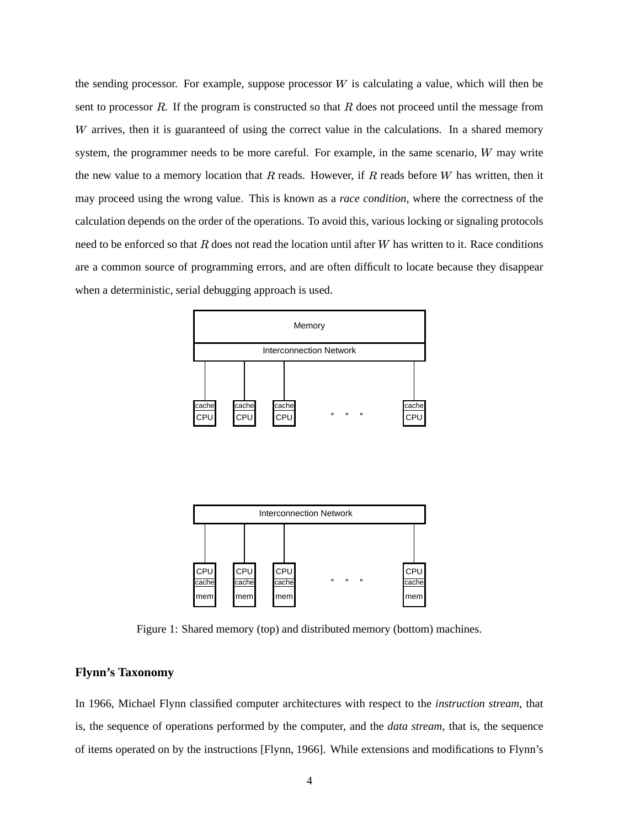the sending processor. For example, suppose processor  $W$  is calculating a value, which will then be sent to processor  $R$ . If the program is constructed so that  $R$  does not proceed until the message from W arrives, then it is guaranteed of using the correct value in the calculations. In a shared memory system, the programmer needs to be more careful. For example, in the same scenario,  $W$  may write the new value to a memory location that  $R$  reads. However, if  $R$  reads before  $W$  has written, then it may proceed using the wrong value. This is known as a *race condition*, where the correctness of the calculation depends on the order of the operations. To avoid this, various locking or signaling protocols need to be enforced so that R does not read the location until after W has written to it. Race conditions are a common source of programming errors, and are often difficult to locate because they disappear when a deterministic, serial debugging approach is used.





Figure 1: Shared memory (top) and distributed memory (bottom) machines.

#### **Flynn's Taxonomy**

In 1966, Michael Flynn classified computer architectures with respect to the *instruction stream*, that is, the sequence of operations performed by the computer, and the *data stream*, that is, the sequence of items operated on by the instructions [Flynn, 1966]. While extensions and modifications to Flynn's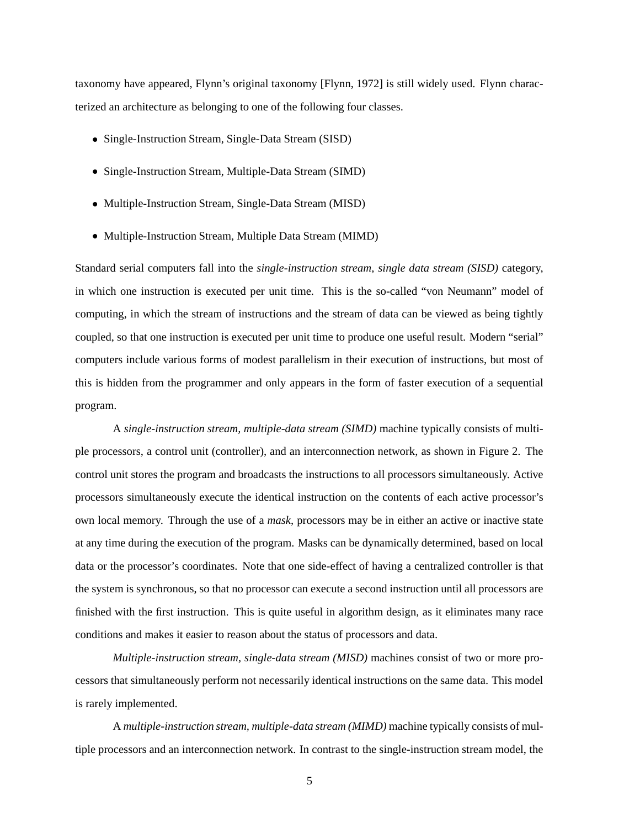taxonomy have appeared, Flynn's original taxonomy [Flynn, 1972] is still widely used. Flynn characterized an architecture as belonging to one of the following four classes.

- Single-Instruction Stream, Single-Data Stream (SISD)
- Single-Instruction Stream, Multiple-Data Stream (SIMD)
- Multiple-Instruction Stream, Single-Data Stream (MISD)
- Multiple-Instruction Stream, Multiple Data Stream (MIMD)

Standard serial computers fall into the *single-instruction stream, single data stream (SISD)* category, in which one instruction is executed per unit time. This is the so-called "von Neumann" model of computing, in which the stream of instructions and the stream of data can be viewed as being tightly coupled, so that one instruction is executed per unit time to produce one useful result. Modern "serial" computers include various forms of modest parallelism in their execution of instructions, but most of this is hidden from the programmer and only appears in the form of faster execution of a sequential program.

A *single-instruction stream, multiple-data stream (SIMD)* machine typically consists of multiple processors, a control unit (controller), and an interconnection network, as shown in Figure 2. The control unit stores the program and broadcasts the instructions to all processors simultaneously. Active processors simultaneously execute the identical instruction on the contents of each active processor's own local memory. Through the use of a *mask*, processors may be in either an active or inactive state at any time during the execution of the program. Masks can be dynamically determined, based on local data or the processor's coordinates. Note that one side-effect of having a centralized controller is that the system is synchronous, so that no processor can execute a second instruction until all processors are finished with the first instruction. This is quite useful in algorithm design, as it eliminates many race conditions and makes it easier to reason about the status of processors and data.

*Multiple-instruction stream, single-data stream (MISD)* machines consist of two or more processors that simultaneously perform not necessarily identical instructions on the same data. This model is rarely implemented.

A *multiple-instruction stream, multiple-data stream (MIMD)* machine typically consists of multiple processors and an interconnection network. In contrast to the single-instruction stream model, the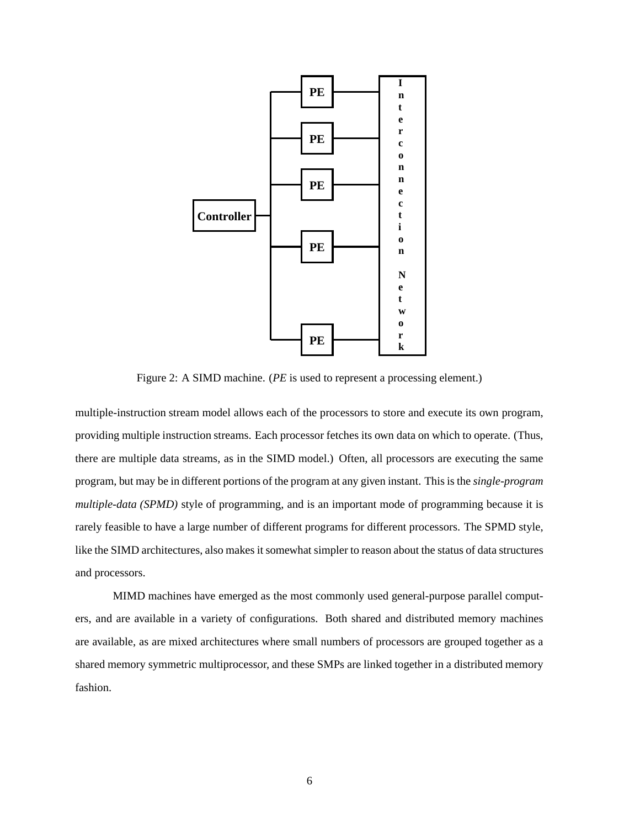

Figure 2: A SIMD machine. (*PE* is used to represent a processing element.)

multiple-instruction stream model allows each of the processors to store and execute its own program, providing multiple instruction streams. Each processor fetches its own data on which to operate. (Thus, there are multiple data streams, as in the SIMD model.) Often, all processors are executing the same program, but may be in different portions of the program at any given instant. This is the *single-program multiple-data (SPMD)* style of programming, and is an important mode of programming because it is rarely feasible to have a large number of different programs for different processors. The SPMD style, like the SIMD architectures, also makes it somewhat simpler to reason about the status of data structures and processors.

MIMD machines have emerged as the most commonly used general-purpose parallel computers, and are available in a variety of configurations. Both shared and distributed memory machines are available, as are mixed architectures where small numbers of processors are grouped together as a shared memory symmetric multiprocessor, and these SMPs are linked together in a distributed memory fashion.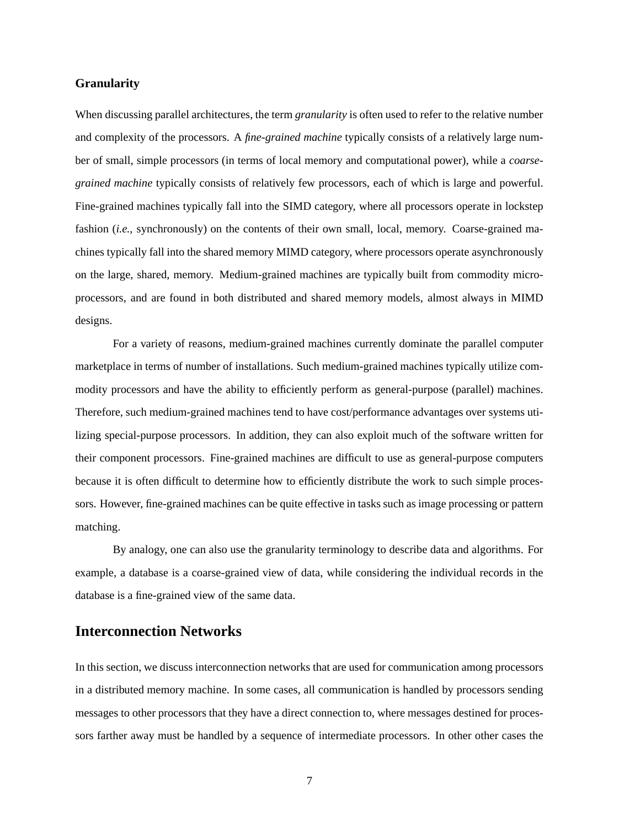#### **Granularity**

When discussing parallel architectures, the term *granularity* is often used to refer to the relative number and complexity of the processors. A *fine-grained machine* typically consists of a relatively large number of small, simple processors (in terms of local memory and computational power), while a *coarsegrained machine* typically consists of relatively few processors, each of which is large and powerful. Fine-grained machines typically fall into the SIMD category, where all processors operate in lockstep fashion (*i.e.*, synchronously) on the contents of their own small, local, memory. Coarse-grained machines typically fall into the shared memory MIMD category, where processors operate asynchronously on the large, shared, memory. Medium-grained machines are typically built from commodity microprocessors, and are found in both distributed and shared memory models, almost always in MIMD designs.

For a variety of reasons, medium-grained machines currently dominate the parallel computer marketplace in terms of number of installations. Such medium-grained machines typically utilize commodity processors and have the ability to efficiently perform as general-purpose (parallel) machines. Therefore, such medium-grained machines tend to have cost/performance advantages over systems utilizing special-purpose processors. In addition, they can also exploit much of the software written for their component processors. Fine-grained machines are difficult to use as general-purpose computers because it is often difficult to determine how to efficiently distribute the work to such simple processors. However, fine-grained machines can be quite effective in tasks such as image processing or pattern matching.

By analogy, one can also use the granularity terminology to describe data and algorithms. For example, a database is a coarse-grained view of data, while considering the individual records in the database is a fine-grained view of the same data.

# **Interconnection Networks**

In this section, we discuss interconnection networks that are used for communication among processors in a distributed memory machine. In some cases, all communication is handled by processors sending messages to other processors that they have a direct connection to, where messages destined for processors farther away must be handled by a sequence of intermediate processors. In other other cases the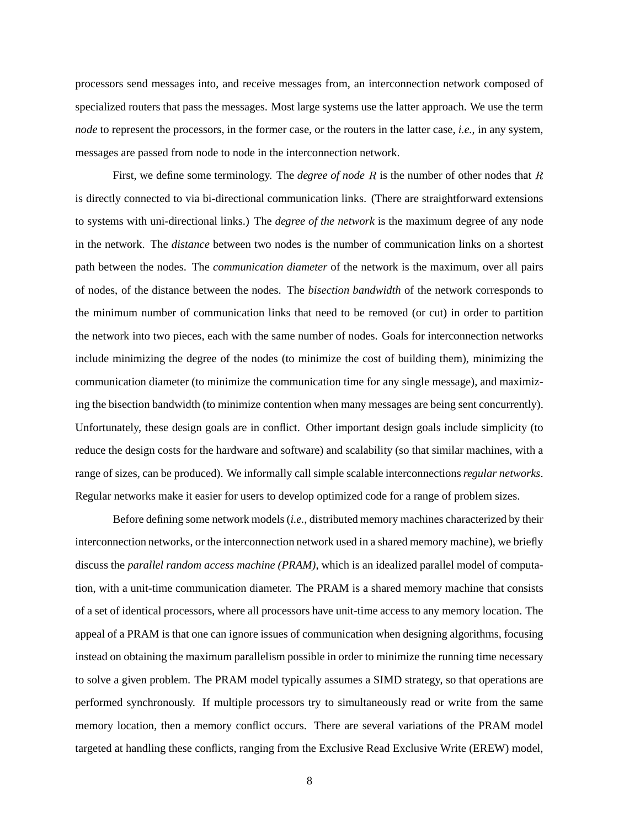processors send messages into, and receive messages from, an interconnection network composed of specialized routers that pass the messages. Most large systems use the latter approach. We use the term *node* to represent the processors, in the former case, or the routers in the latter case, *i.e.*, in any system, messages are passed from node to node in the interconnection network.

First, we define some terminology. The *degree of node*  $R$  is the number of other nodes that  $R$ is directly connected to via bi-directional communication links. (There are straightforward extensions to systems with uni-directional links.) The *degree of the network* is the maximum degree of any node in the network. The *distance* between two nodes is the number of communication links on a shortest path between the nodes. The *communication diameter* of the network is the maximum, over all pairs of nodes, of the distance between the nodes. The *bisection bandwidth* of the network corresponds to the minimum number of communication links that need to be removed (or cut) in order to partition the network into two pieces, each with the same number of nodes. Goals for interconnection networks include minimizing the degree of the nodes (to minimize the cost of building them), minimizing the communication diameter (to minimize the communication time for any single message), and maximizing the bisection bandwidth (to minimize contention when many messages are being sent concurrently). Unfortunately, these design goals are in conflict. Other important design goals include simplicity (to reduce the design costs for the hardware and software) and scalability (so that similar machines, with a range of sizes, can be produced). We informally call simple scalable interconnections *regular networks*. Regular networks make it easier for users to develop optimized code for a range of problem sizes.

Before defining some network models (*i.e.*, distributed memory machines characterized by their interconnection networks, or the interconnection network used in a shared memory machine), we briefly discuss the *parallel random access machine (PRAM)*, which is an idealized parallel model of computation, with a unit-time communication diameter. The PRAM is a shared memory machine that consists of a set of identical processors, where all processors have unit-time access to any memory location. The appeal of a PRAM is that one can ignore issues of communication when designing algorithms, focusing instead on obtaining the maximum parallelism possible in order to minimize the running time necessary to solve a given problem. The PRAM model typically assumes a SIMD strategy, so that operations are performed synchronously. If multiple processors try to simultaneously read or write from the same memory location, then a memory conflict occurs. There are several variations of the PRAM model targeted at handling these conflicts, ranging from the Exclusive Read Exclusive Write (EREW) model,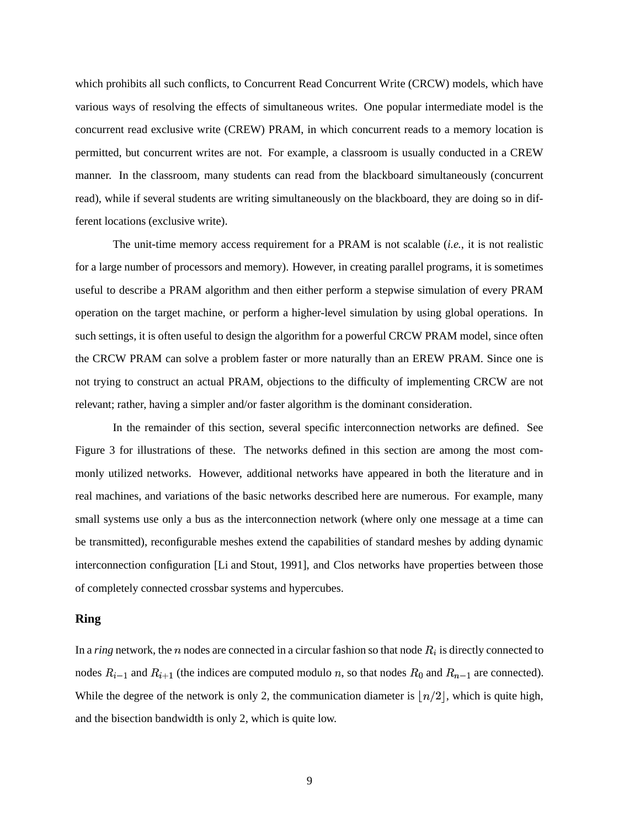which prohibits all such conflicts, to Concurrent Read Concurrent Write (CRCW) models, which have various ways of resolving the effects of simultaneous writes. One popular intermediate model is the concurrent read exclusive write (CREW) PRAM, in which concurrent reads to a memory location is permitted, but concurrent writes are not. For example, a classroom is usually conducted in a CREW manner. In the classroom, many students can read from the blackboard simultaneously (concurrent read), while if several students are writing simultaneously on the blackboard, they are doing so in different locations (exclusive write).

The unit-time memory access requirement for a PRAM is not scalable (*i.e.*, it is not realistic for a large number of processors and memory). However, in creating parallel programs, it is sometimes useful to describe a PRAM algorithm and then either perform a stepwise simulation of every PRAM operation on the target machine, or perform a higher-level simulation by using global operations. In such settings, it is often useful to design the algorithm for a powerful CRCW PRAM model, since often the CRCW PRAM can solve a problem faster or more naturally than an EREW PRAM. Since one is not trying to construct an actual PRAM, objections to the difficulty of implementing CRCW are not relevant; rather, having a simpler and/or faster algorithm is the dominant consideration.

In the remainder of this section, several specific interconnection networks are defined. See Figure 3 for illustrations of these. The networks defined in this section are among the most commonly utilized networks. However, additional networks have appeared in both the literature and in real machines, and variations of the basic networks described here are numerous. For example, many small systems use only a bus as the interconnection network (where only one message at a time can be transmitted), reconfigurable meshes extend the capabilities of standard meshes by adding dynamic interconnection configuration [Li and Stout, 1991], and Clos networks have properties between those of completely connected crossbar systems and hypercubes.

#### **Ring**

In a *ring* network, the  $n$  nodes are connected in a circular fashion so that node  $R_i$  is directly connected to nodes  $R_{i-1}$  and  $R_{i+1}$  (the indices are computed modulo n, so that nodes  $R_0$  and  $R_{n-1}$  are connected). While the degree of the network is only 2, the communication diameter is  $\lfloor n/2 \rfloor$ , which is quite high, and the bisection bandwidth is only 2, which is quite low.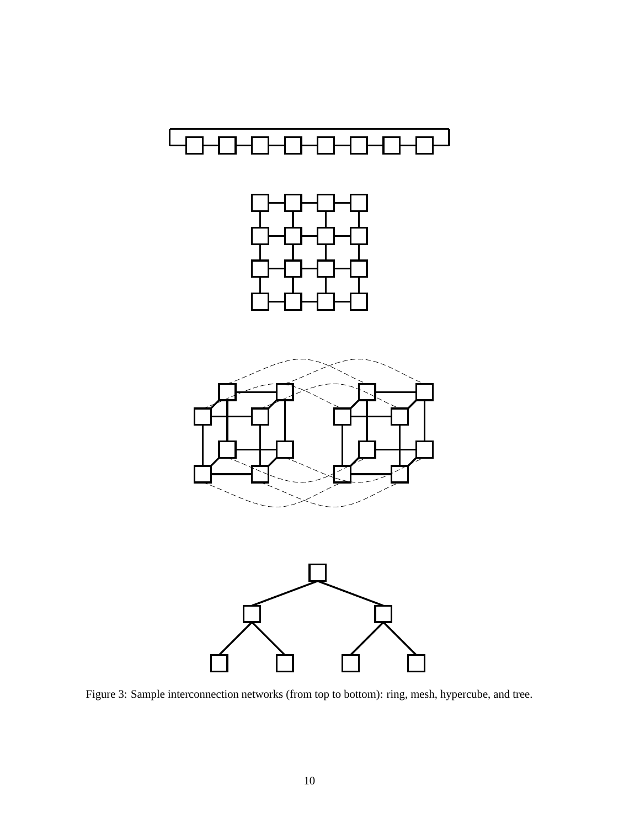

Figure 3: Sample interconnection networks (from top to bottom): ring, mesh, hypercube, and tree.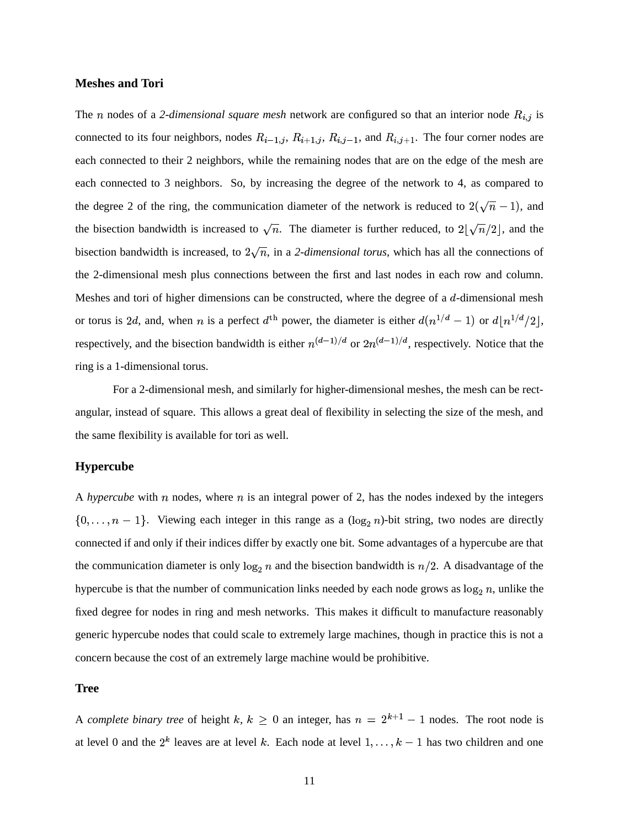#### **Meshes and Tori**

The *n* nodes of a 2-dimensional square mesh network are configured so that an interior node  $R_{i,j}$  is connected to its four neighbors, nodes  $R_{i-1,i}$ ,  $R_{i+1,i}$ ,  $R_{i,i-1}$ , and  $R_{i,i+1}$ . The four corner nodes are each connected to their 2 neighbors, while the remaining nodes that are on the edge of the mesh are each connected to 3 neighbors. So, by increasing the degree of the network to 4, as compared to the degree 2 of the ring, the communication diameter of the network is reduced to  $2(\sqrt{n}-1)$ , and the bisection bandwidth is increased to  $\sqrt{n}$ . The diameter is further reduced, to  $2[\sqrt{n}/2]$ , and the bisection bandwidth is increased, to  $2\sqrt{n}$ , in a 2-dimensional torus, which has all the connections of the 2-dimensional mesh plus connections between the first and last nodes in each row and column. Meshes and tori of higher dimensions can be constructed, where the degree of a  $d$ -dimensional mesh or torus is 2d, and, when n is a perfect  $d<sup>th</sup>$  power, the diameter is either  $d(n^{1/d}-1)$  or  $d\lfloor n^{1/d}/2 \rfloor$ , respectively, and the bisection bandwidth is either  $n^{(d-1)/d}$  or  $2n^{(d-1)/d}$ , respectively. Notice that the ring is a 1-dimensional torus.

For a 2-dimensional mesh, and similarly for higher-dimensional meshes, the mesh can be rectangular, instead of square. This allows a great deal of flexibility in selecting the size of the mesh, and the same flexibility is available for tori as well.

#### **Hypercube**

A *hypercube* with  $n$  nodes, where  $n$  is an integral power of 2, has the nodes indexed by the integers  $\{0, \ldots, n-1\}$ . Viewing each integer in this range as a  $(\log_2 n)$ -bit string, two nodes are directly connected if and only if their indices differ by exactly one bit. Some advantages of a hypercube are that the communication diameter is only  $\log_2 n$  and the bisection bandwidth is  $n/2$ . A disadvantage of the hypercube is that the number of communication links needed by each node grows as  $\log_2 n$ , unlike the fixed degree for nodes in ring and mesh networks. This makes it difficult to manufacture reasonably generic hypercube nodes that could scale to extremely large machines, though in practice this is not a concern because the cost of an extremely large machine would be prohibitive.

#### **Tree**

A *complete binary tree* of height k,  $k \geq 0$  an integer, has  $n = 2^{k+1} - 1$  nodes. The root node is at level 0 and the  $2^k$  leaves are at level k. Each node at level  $1, \ldots, k-1$  has two children and one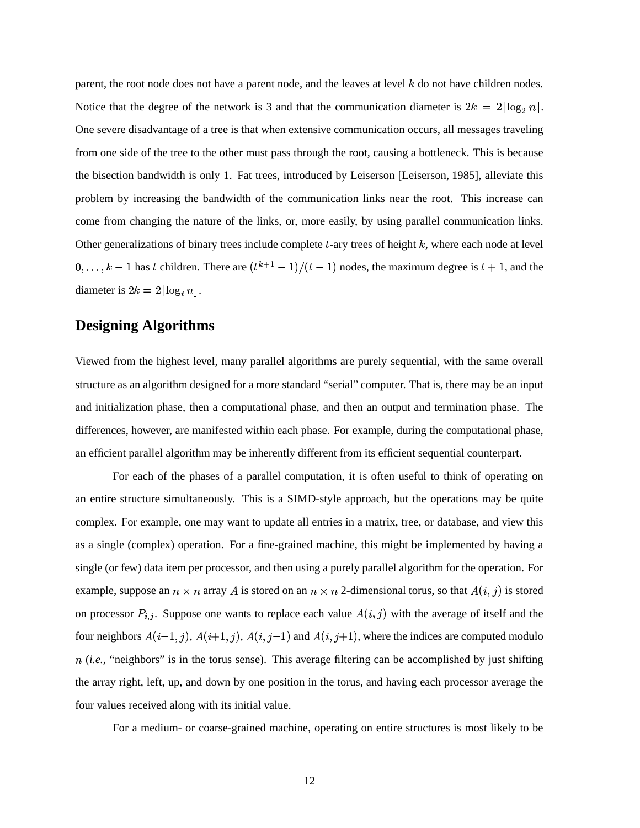parent, the root node does not have a parent node, and the leaves at level  $k$  do not have children nodes. Notice that the degree of the network is 3 and that the communication diameter is  $2k = 2\lfloor \log_2 n \rfloor$ . One severe disadvantage of a tree is that when extensive communication occurs, all messages traveling from one side of the tree to the other must pass through the root, causing a bottleneck. This is because the bisection bandwidth is only 1. Fat trees, introduced by Leiserson [Leiserson, 1985], alleviate this problem by increasing the bandwidth of the communication links near the root. This increase can come from changing the nature of the links, or, more easily, by using parallel communication links. Other generalizations of binary trees include complete  $t$ -ary trees of height  $k$ , where each node at level  $0, \ldots, k-1$  has t children. There are  $(t^{k+1}-1)/(t-1)$  nodes, the maximum degree is  $t+1$ , and the diameter is  $2k = 2\lfloor \log_t n \rfloor$ .

# **Designing Algorithms**

Viewed from the highest level, many parallel algorithms are purely sequential, with the same overall structure as an algorithm designed for a more standard "serial" computer. That is, there may be an input and initialization phase, then a computational phase, and then an output and termination phase. The differences, however, are manifested within each phase. For example, during the computational phase, an efficient parallel algorithm may be inherently different from its efficient sequential counterpart.

For each of the phases of a parallel computation, it is often useful to think of operating on an entire structure simultaneously. This is a SIMD-style approach, but the operations may be quite complex. For example, one may want to update all entries in a matrix, tree, or database, and view this as a single (complex) operation. For a fine-grained machine, this might be implemented by having a single (or few) data item per processor, and then using a purely parallel algorithm for the operation. For example, suppose an  $n \times n$  array A is stored on an  $n \times n$  2-dimensional torus, so that  $A(i, j)$  is stored on processor  $P_{i,j}$ . Suppose one wants to replace each value  $A(i,j)$  with the average of itself and the four neighbors  $A(i-1, j)$ ,  $A(i+1, j)$ ,  $A(i, j-1)$ , j),  $A(i, j-1)$  and  $A(i, j+1)$ , where the indices are computed modulo  $n(i.e., "neighbors"$  is in the torus sense). This average filtering can be accomplished by just shifting the array right, left, up, and down by one position in the torus, and having each processor average the four values received along with its initial value.

For a medium- or coarse-grained machine, operating on entire structures is most likely to be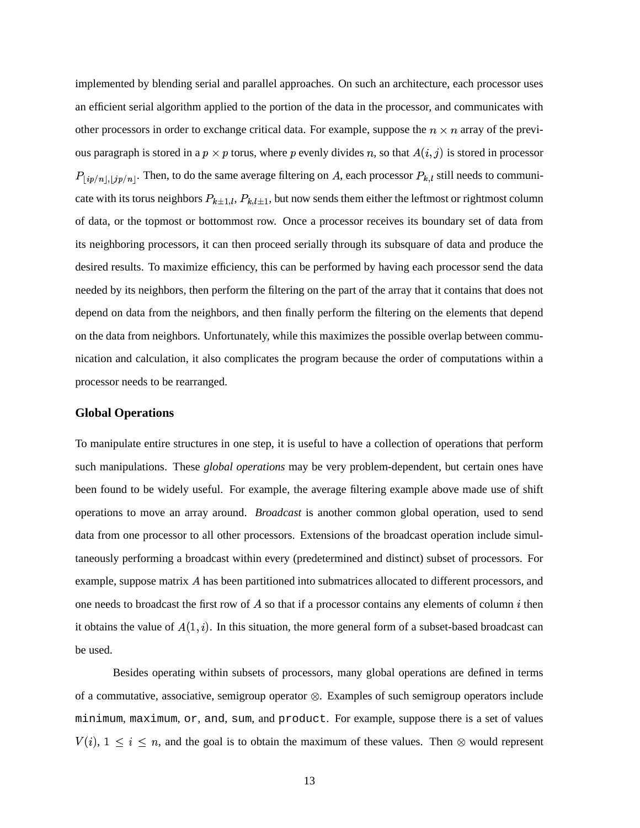implemented by blending serial and parallel approaches. On such an architecture, each processor uses an efficient serial algorithm applied to the portion of the data in the processor, and communicates with other processors in order to exchange critical data. For example, suppose the  $n \times n$  array of the previous paragraph is stored in a  $p \times p$  torus, where p evenly divides n, so that  $A(i, j)$  is stored in processor  $P_{\lfloor i p/n \rfloor, \lfloor i p/n \rfloor}$ . Then, to do the same average filtering on A, each processor  $P_{k,l}$  still needs to communicate with its torus neighbors  $P_{k\pm 1,l}$ ,  $P_{k,l\pm 1}$ , but now sends them either the leftmost or rightmost column of data, or the topmost or bottommost row. Once a processor receives its boundary set of data from its neighboring processors, it can then proceed serially through its subsquare of data and produce the desired results. To maximize efficiency, this can be performed by having each processor send the data needed by its neighbors, then perform the filtering on the part of the array that it contains that does not depend on data from the neighbors, and then finally perform the filtering on the elements that depend on the data from neighbors. Unfortunately, while this maximizes the possible overlap between communication and calculation, it also complicates the program because the order of computations within a processor needs to be rearranged.

#### **Global Operations**

To manipulate entire structures in one step, it is useful to have a collection of operations that perform such manipulations. These *global operations* may be very problem-dependent, but certain ones have been found to be widely useful. For example, the average filtering example above made use of shift operations to move an array around. *Broadcast* is another common global operation, used to send data from one processor to all other processors. Extensions of the broadcast operation include simultaneously performing a broadcast within every (predetermined and distinct) subset of processors. For example, suppose matrix A has been partitioned into submatrices allocated to different processors, and one needs to broadcast the first row of  $A$  so that if a processor contains any elements of column  $i$  then it obtains the value of  $A(1, i)$ . In this situation, the more general form of a subset-based broadcast can be used.

Besides operating within subsets of processors, many global operations are defined in terms of a commutative, associative, semigroup operator  $\otimes$ . Examples of such semigroup operators include minimum, maximum, or, and, sum, and product. For example, suppose there is a set of values  $V(i)$ ,  $1 \leq i \leq n$ , and the goal is to obtain the maximum of these values. Then  $\otimes$  would represent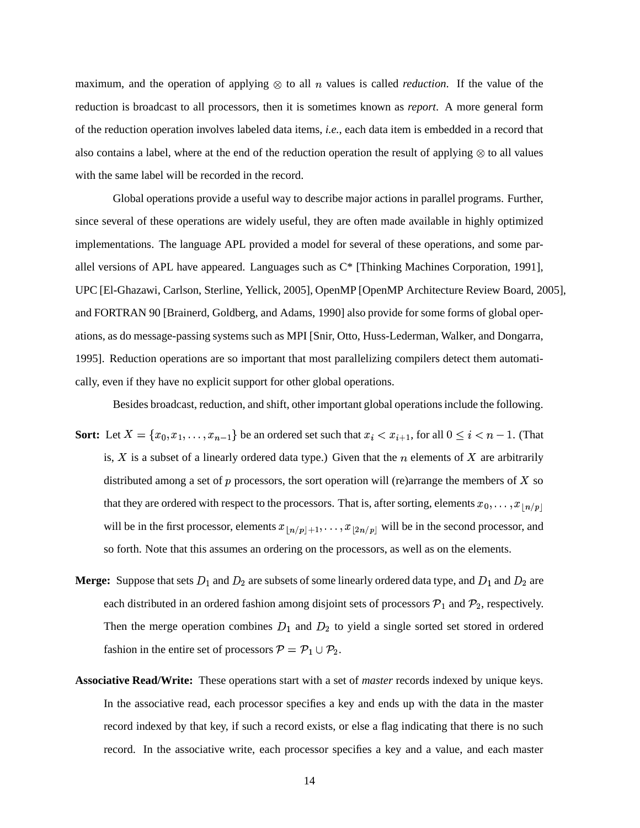maximum, and the operation of applying  $\otimes$  to all n values is called *reduction*. If the value of the reduction is broadcast to all processors, then it is sometimes known as *report*. A more general form of the reduction operation involves labeled data items, *i.e.*, each data item is embedded in a record that also contains a label, where at the end of the reduction operation the result of applying  $\otimes$  to all values with the same label will be recorded in the record.

Global operations provide a useful way to describe major actions in parallel programs. Further, since several of these operations are widely useful, they are often made available in highly optimized implementations. The language APL provided a model for several of these operations, and some parallel versions of APL have appeared. Languages such as  $C^*$  [Thinking Machines Corporation, 1991], UPC [El-Ghazawi, Carlson, Sterline, Yellick, 2005], OpenMP [OpenMP Architecture Review Board, 2005], and FORTRAN 90 [Brainerd, Goldberg, and Adams, 1990] also provide for some forms of global operations, as do message-passing systems such as MPI [Snir, Otto, Huss-Lederman, Walker, and Dongarra, 1995]. Reduction operations are so important that most parallelizing compilers detect them automatically, even if they have no explicit support for other global operations.

Besides broadcast, reduction, and shift, other important global operationsinclude the following.

- **Sort:** Let  $X = \{x_0, x_1, \ldots, x_{n-1}\}$  $\{x_1, \ldots, x_{n-1}\}$  be an ordered set such that  $x_i < x_{i+1}$ , for all  $0 \leq i < n-1$ . (That is, X is a subset of a linearly ordered data type.) Given that the  $n$  elements of X are arbitrarily distributed among a set of  $p$  processors, the sort operation will (re)arrange the members of  $X$  so that they are ordered with respect to the processors. That is, after sorting, elements  $x_0, \ldots, x_{n}$ -, will be in the first processor, elements  $x_{n/p+1}, \ldots, x_{n/p}$  will be in the second processor, and so forth. Note that this assumes an ordering on the processors, as well as on the elements.
- **Merge:** Suppose that sets  $D_1$  and  $D_2$  are subsets of some linearly ordered data type, and  $D_1$  and  $D_2$  are each distributed in an ordered fashion among disjoint sets of processors  $P_1$  and  $P_2$ , respectively. Then the merge operation combines  $D_1$  and  $D_2$  to yield a single sorted set stored in ordered fashion in the entire set of processors  $P = P_1 \cup P_2$ .
- **Associative Read/Write:** These operations start with a set of *master* records indexed by unique keys. In the associative read, each processor specifies a key and ends up with the data in the master record indexed by that key, if such a record exists, or else a flag indicating that there is no such record. In the associative write, each processor specifies a key and a value, and each master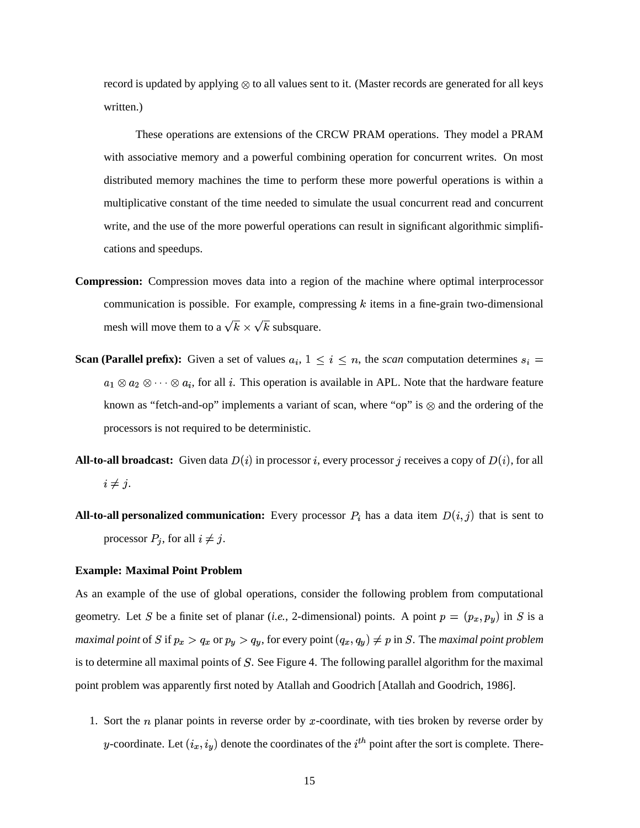record is updated by applying  $\otimes$  to all values sent to it. (Master records are generated for all keys written.)

These operations are extensions of the CRCW PRAM operations. They model a PRAM with associative memory and a powerful combining operation for concurrent writes. On most distributed memory machines the time to perform these more powerful operations is within a multiplicative constant of the time needed to simulate the usual concurrent read and concurrent write, and the use of the more powerful operations can result in significant algorithmic simplifications and speedups.

- **Compression:** Compression moves data into a region of the machine where optimal interprocessor communication is possible. For example, compressing  $k$  items in a fine-grain two-dimensional mesh will move them to a  $\sqrt{k} \times \sqrt{k}$  subsquare.
- **Scan (Parallel prefix):** Given a set of values  $a_i$ ,  $1 \leq i \leq n$ , the *scan* computation determines  $s_i$  $a_1 \otimes a_2 \otimes \cdots \otimes a_i$ , for all i. This operation is available in APL. Note that the hardware feature known as "fetch-and-op" implements a variant of scan, where "op" is  $\otimes$  and the ordering of the processors is not required to be deterministic.
- **All-to-all broadcast:** Given data  $D(i)$  in processor i, every processor j receives a copy of  $D(i)$ , for all  $i \neq j$ .
- **All-to-all personalized communication:** Every processor  $P_i$  has a data item  $D(i, j)$  that is sent to processor  $P_i$ , for all  $i \neq j$ .

#### **Example: Maximal Point Problem**

As an example of the use of global operations, consider the following problem from computational geometry. Let S be a finite set of planar (*i.e.*, 2-dimensional) points. A point  $p = (p_x, p_y)$  in S is a *maximal point* of S if  $p_x > q_x$  or  $p_y > q_y$ , for every point  $(q_x, q_y) \neq p$  in S. The *maximal point problem* is to determine all maximal points of  $S$ . See Figure 4. The following parallel algorithm for the maximal point problem was apparently first noted by Atallah and Goodrich [Atallah and Goodrich, 1986].

1. Sort the  $n$  planar points in reverse order by  $x$ -coordinate, with ties broken by reverse order by y-coordinate. Let  $(i_x, i_y)$  denote the coordinates of the  $i^{th}$  point after the sort is complete. There-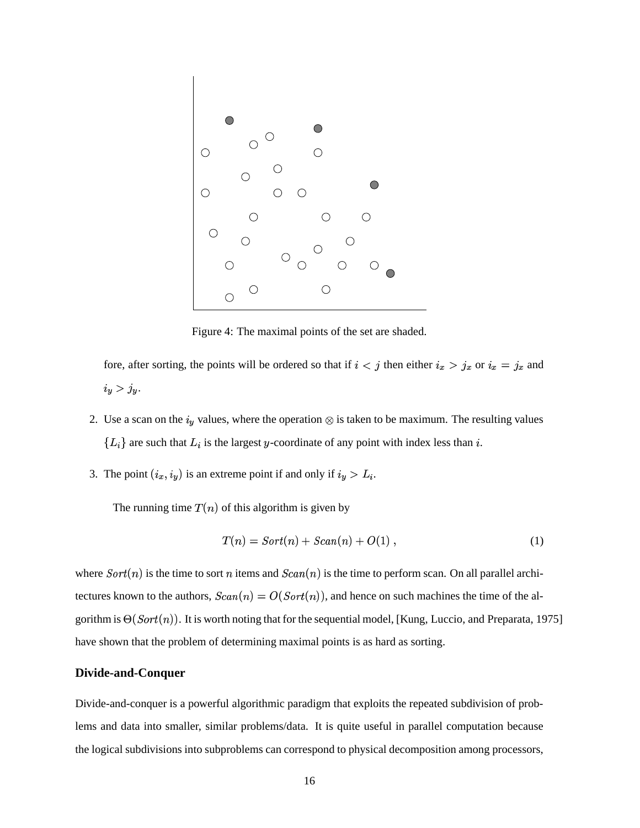

Figure 4: The maximal points of the set are shaded.

fore, after sorting, the points will be ordered so that if  $i < j$  then either  $i_x > j_x$  or  $i_x = j_x$  and  $i_y > j_y$ .

- 2. Use a scan on the  $i_y$  values, where the operation  $\otimes$  is taken to be maximum. The resulting values  $\{L_i\}$  are such that  $L_i$  is the largest y-coordinate of any point with index less than *i*.
- 3. The point  $(i_x, i_y)$  is an extreme point if and only if  $i_y > L_i$ .

The running time  $T(n)$  of this algorithm is given by

$$
T(n) = Sort(n) + Scan(n) + O(1), \qquad (1)
$$

where  $Sort(n)$  is the time to sort n items and  $Scan(n)$  is the time to perform scan. On all parallel architectures known to the authors,  $Scan(n) = O(Sort(n))$ , and hence on such machines the time of the algorithm is  $\Theta(Sort(n))$ . It is worth noting that for the sequential model, [Kung, Luccio, and Preparata, 1975] have shown that the problem of determining maximal points is as hard as sorting.

#### **Divide-and-Conquer**

Divide-and-conquer is a powerful algorithmic paradigm that exploits the repeated subdivision of problems and data into smaller, similar problems/data. It is quite useful in parallel computation because the logical subdivisions into subproblems can correspond to physical decomposition among processors,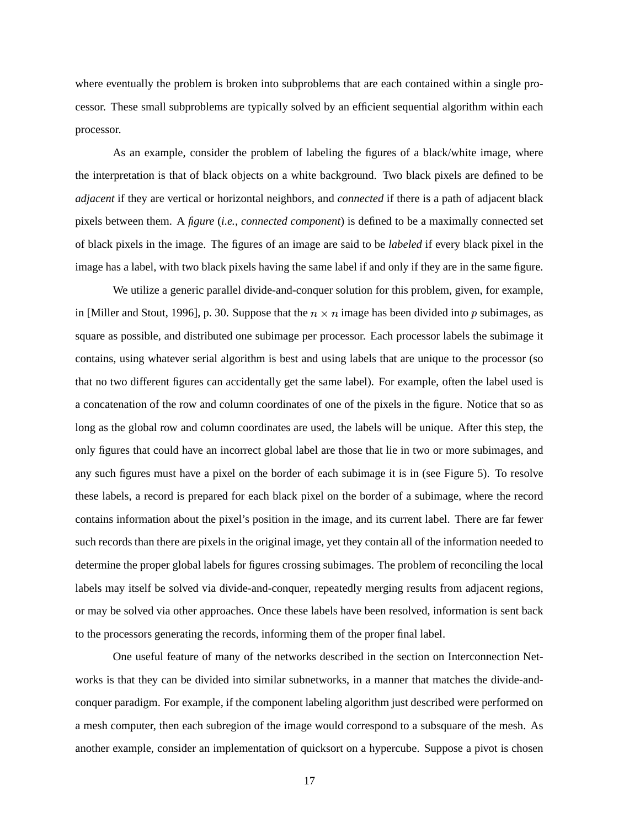where eventually the problem is broken into subproblems that are each contained within a single processor. These small subproblems are typically solved by an efficient sequential algorithm within each processor.

As an example, consider the problem of labeling the figures of a black/white image, where the interpretation is that of black objects on a white background. Two black pixels are defined to be *adjacent* if they are vertical or horizontal neighbors, and *connected* if there is a path of adjacent black pixels between them. A *figure* (*i.e.*, *connected component*) is defined to be a maximally connected set of black pixels in the image. The figures of an image are said to be *labeled* if every black pixel in the image has a label, with two black pixels having the same label if and only if they are in the same figure.

We utilize a generic parallel divide-and-conquer solution for this problem, given, for example, in [Miller and Stout, 1996], p. 30. Suppose that the  $n \times n$  image has been divided into p subimages, as square as possible, and distributed one subimage per processor. Each processor labels the subimage it contains, using whatever serial algorithm is best and using labels that are unique to the processor (so that no two different figures can accidentally get the same label). For example, often the label used is a concatenation of the row and column coordinates of one of the pixels in the figure. Notice that so as long as the global row and column coordinates are used, the labels will be unique. After this step, the only figures that could have an incorrect global label are those that lie in two or more subimages, and any such figures must have a pixel on the border of each subimage it is in (see Figure 5). To resolve these labels, a record is prepared for each black pixel on the border of a subimage, where the record contains information about the pixel's position in the image, and its current label. There are far fewer such records than there are pixels in the original image, yet they contain all of the information needed to determine the proper global labels for figures crossing subimages. The problem of reconciling the local labels may itself be solved via divide-and-conquer, repeatedly merging results from adjacent regions, or may be solved via other approaches. Once these labels have been resolved, information is sent back to the processors generating the records, informing them of the proper final label.

One useful feature of many of the networks described in the section on Interconnection Networks is that they can be divided into similar subnetworks, in a manner that matches the divide-andconquer paradigm. For example, if the component labeling algorithm just described were performed on a mesh computer, then each subregion of the image would correspond to a subsquare of the mesh. As another example, consider an implementation of quicksort on a hypercube. Suppose a pivot is chosen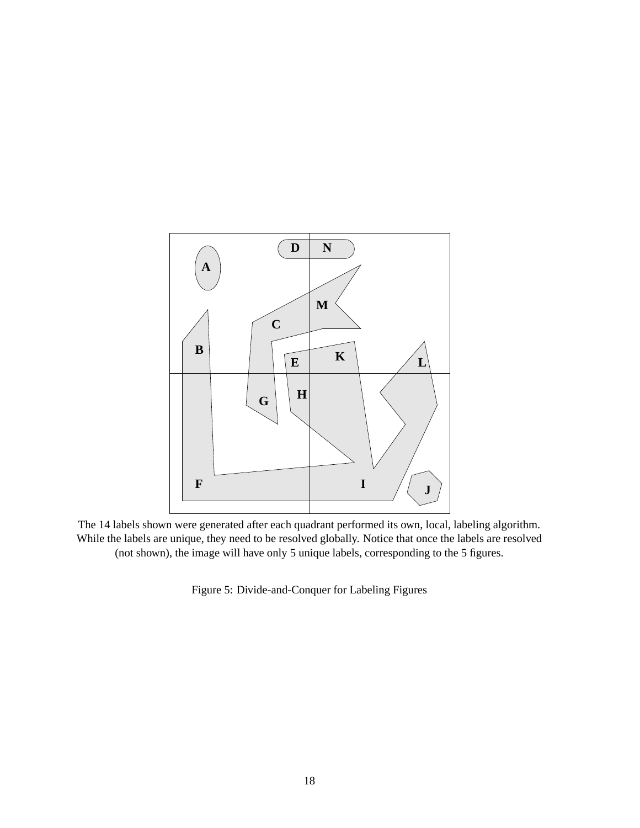

The 14 labels shown were generated after each quadrant performed its own, local, labeling algorithm. While the labels are unique, they need to be resolved globally. Notice that once the labels are resolved (not shown), the image will have only 5 unique labels, corresponding to the 5 figures.

Figure 5: Divide-and-Conquer for Labeling Figures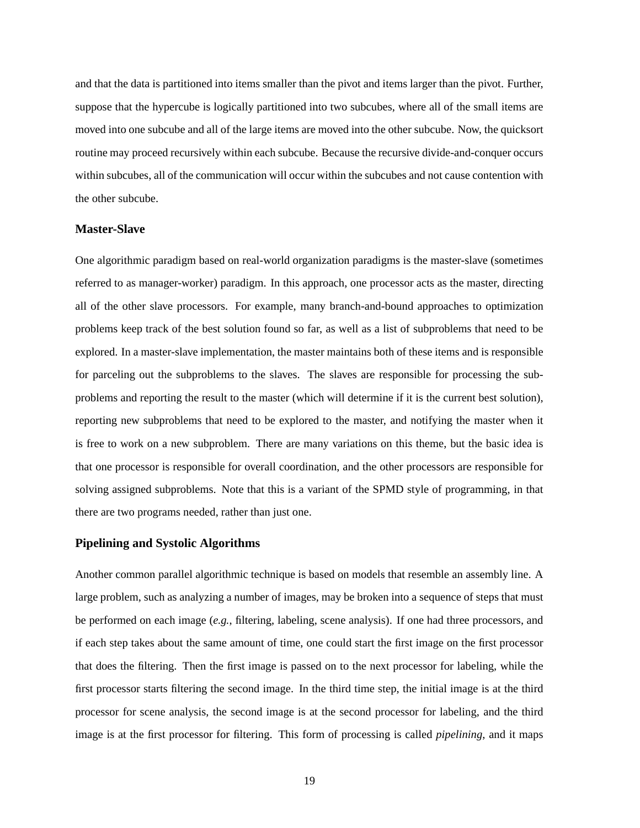and that the data is partitioned into items smaller than the pivot and items larger than the pivot. Further, suppose that the hypercube is logically partitioned into two subcubes, where all of the small items are moved into one subcube and all of the large items are moved into the other subcube. Now, the quicksort routine may proceed recursively within each subcube. Because the recursive divide-and-conquer occurs within subcubes, all of the communication will occur within the subcubes and not cause contention with the other subcube.

#### **Master-Slave**

One algorithmic paradigm based on real-world organization paradigms is the master-slave (sometimes referred to as manager-worker) paradigm. In this approach, one processor acts as the master, directing all of the other slave processors. For example, many branch-and-bound approaches to optimization problems keep track of the best solution found so far, as well as a list of subproblems that need to be explored. In a master-slave implementation, the master maintains both of these items and is responsible for parceling out the subproblems to the slaves. The slaves are responsible for processing the subproblems and reporting the result to the master (which will determine if it is the current best solution), reporting new subproblems that need to be explored to the master, and notifying the master when it is free to work on a new subproblem. There are many variations on this theme, but the basic idea is that one processor is responsible for overall coordination, and the other processors are responsible for solving assigned subproblems. Note that this is a variant of the SPMD style of programming, in that there are two programs needed, rather than just one.

#### **Pipelining and Systolic Algorithms**

Another common parallel algorithmic technique is based on models that resemble an assembly line. A large problem, such as analyzing a number of images, may be broken into a sequence of steps that must be performed on each image (*e.g.*, filtering, labeling, scene analysis). If one had three processors, and if each step takes about the same amount of time, one could start the first image on the first processor that does the filtering. Then the first image is passed on to the next processor for labeling, while the first processor starts filtering the second image. In the third time step, the initial image is at the third processor for scene analysis, the second image is at the second processor for labeling, and the third image is at the first processor for filtering. This form of processing is called *pipelining*, and it maps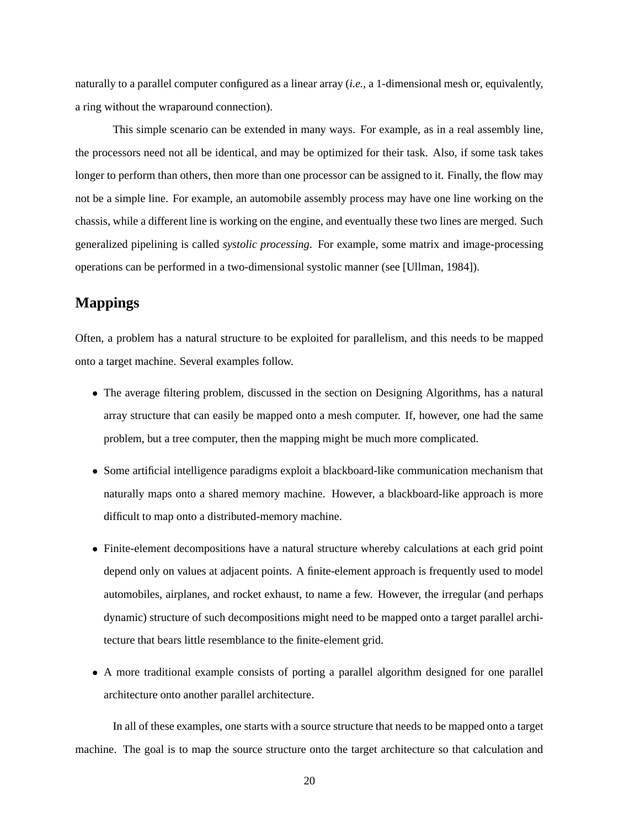naturally to a parallel computer configured as a linear array (*i.e.*, a 1-dimensional mesh or, equivalently, a ring without the wraparound connection).

This simple scenario can be extended in many ways. For example, as in a real assembly line, the processors need not all be identical, and may be optimized for their task. Also, if some task takes longer to perform than others, then more than one processor can be assigned to it. Finally, the flow may not be a simple line. For example, an automobile assembly process may have one line working on the chassis, while a different line is working on the engine, and eventually these two lines are merged. Such generalized pipelining is called *systolic processing*. For example, some matrix and image-processing operations can be performed in a two-dimensional systolic manner (see [Ullman, 1984]).

# **Mappings**

Often, a problem has a natural structure to be exploited for parallelism, and this needs to be mapped onto a target machine. Several examples follow.

- The average filtering problem, discussed in the section on Designing Algorithms, has a natural array structure that can easily be mapped onto a mesh computer. If, however, one had the same problem, but a tree computer, then the mapping might be much more complicated.
- Some artificial intelligence paradigms exploit a blackboard-like communication mechanism that naturally maps onto a shared memory machine. However, a blackboard-like approach is more difficult to map onto a distributed-memory machine.
- Finite-element decompositions have a natural structure whereby calculations at each grid point depend only on values at adjacent points. A finite-element approach is frequently used to model automobiles, airplanes, and rocket exhaust, to name a few. However, the irregular (and perhaps dynamic) structure of such decompositions might need to be mapped onto a target parallel architecture that bears little resemblance to the finite-element grid.
- A more traditional example consists of porting a parallel algorithm designed for one parallel architecture onto another parallel architecture.

In all of these examples, one starts with a source structure that needs to be mapped onto a target machine. The goal is to map the source structure onto the target architecture so that calculation and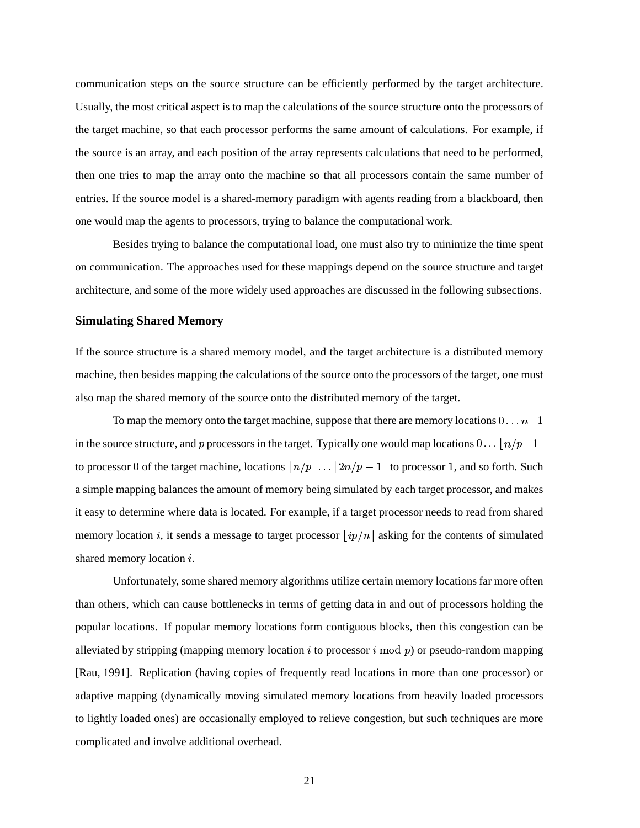communication steps on the source structure can be efficiently performed by the target architecture. Usually, the most critical aspect is to map the calculations of the source structure onto the processors of the target machine, so that each processor performs the same amount of calculations. For example, if the source is an array, and each position of the array represents calculations that need to be performed, then one tries to map the array onto the machine so that all processors contain the same number of entries. If the source model is a shared-memory paradigm with agents reading from a blackboard, then one would map the agents to processors, trying to balance the computational work.

Besides trying to balance the computational load, one must also try to minimize the time spent on communication. The approaches used for these mappings depend on the source structure and target architecture, and some of the more widely used approaches are discussed in the following subsections.

#### **Simulating Shared Memory**

If the source structure is a shared memory model, and the target architecture is a distributed memory machine, then besides mapping the calculations of the source onto the processors of the target, one must also map the shared memory of the source onto the distributed memory of the target.

To map the memory onto the target machine, suppose that there are memory locations  $0 \ldots n-1$ in the source structure, and p processors in the target. Typically one would map locations  $0 \dots \lfloor n/p-1 \rfloor$ to processor 0 of the target machine, locations  $\lfloor n/p \rfloor \ldots \lfloor 2n/p-1 \rfloor$  to processor 1, and so forth. Such a simple mapping balances the amount of memory being simulated by each target processor, and makes it easy to determine where data is located. For example, if a target processor needs to read from shared memory location *i*, it sends a message to target processor  $\lfloor ip/n \rfloor$  asking for the contents of simulated shared memory location  $i$ .

Unfortunately, some shared memory algorithms utilize certain memory locationsfar more often than others, which can cause bottlenecks in terms of getting data in and out of processors holding the popular locations. If popular memory locations form contiguous blocks, then this congestion can be alleviated by stripping (mapping memory location  $i$  to processor  $i \mod p$ ) or pseudo-random mapping [Rau, 1991]. Replication (having copies of frequently read locations in more than one processor) or adaptive mapping (dynamically moving simulated memory locations from heavily loaded processors to lightly loaded ones) are occasionally employed to relieve congestion, but such techniques are more complicated and involve additional overhead.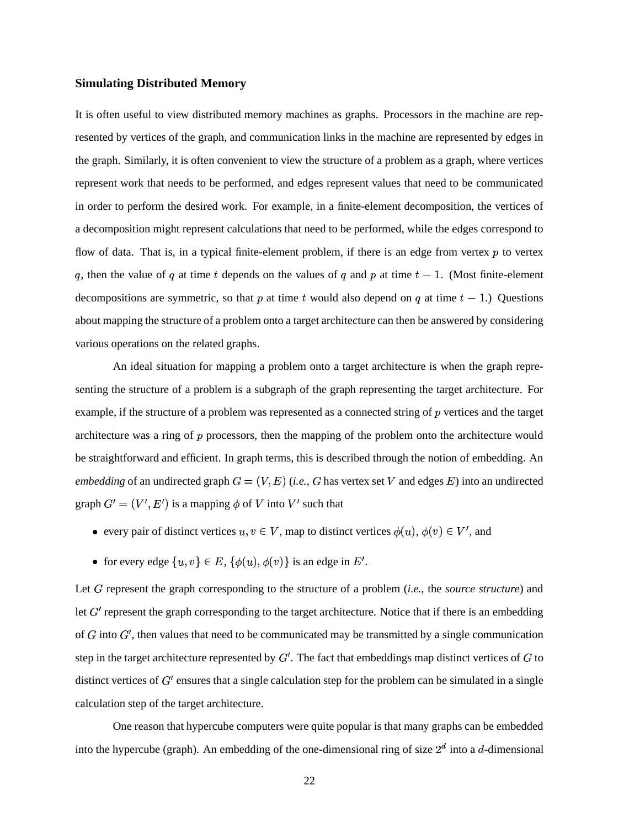#### **Simulating Distributed Memory**

It is often useful to view distributed memory machines as graphs. Processors in the machine are represented by vertices of the graph, and communication links in the machine are represented by edges in the graph. Similarly, it is often convenient to view the structure of a problem as a graph, where vertices represent work that needs to be performed, and edges represent values that need to be communicated in order to perform the desired work. For example, in a finite-element decomposition, the vertices of a decomposition might represent calculations that need to be performed, while the edges correspond to flow of data. That is, in a typical finite-element problem, if there is an edge from vertex  $p$  to vertex q, then the value of q at time t depends on the values of q and p at time  $t - 1$ . (Most finite-element decompositions are symmetric, so that p at time t would also depend on q at time  $t - 1$ .) Questions about mapping the structure of a problem onto a target architecture can then be answered by considering various operations on the related graphs.

An ideal situation for mapping a problem onto a target architecture is when the graph representing the structure of a problem is a subgraph of the graph representing the target architecture. For example, if the structure of a problem was represented as a connected string of  $p$  vertices and the target architecture was a ring of p processors, then the mapping of the problem onto the architecture would be straightforward and efficient. In graph terms, this is described through the notion of embedding. An *embedding* of an undirected graph  $G = (V, E)$  (*i.e.*, G has vertex set V and edges E) into an undirected graph  $G' = (V', E')$  is a mapping  $\phi$  of V into V' such that

- every pair of distinct vertices  $u, v \in V$ , map to distinct vertices  $\phi(u), \phi(v) \in V'$ , and
- for every edge  $\{u, v\} \in E$ ,  $\{\phi(u), \phi(v)\}$  is an edge in E'.

Let G represent the graph corresponding to the structure of a problem *(i.e., the source structure)* and let  $G'$  represent the graph corresponding to the target architecture. Notice that if there is an embedding of  $G$  into  $G'$ , then values that need to be communicated may be transmitted by a single communication step in the target architecture represented by  $G'$ . The fact that embeddings map distinct vertices of  $G$  to distinct vertices of  $G'$  ensures that a single calculation step for the problem can be simulated in a single calculation step of the target architecture.

One reason that hypercube computers were quite popular is that many graphs can be embedded into the hypercube (graph). An embedding of the one-dimensional ring of size  $2<sup>d</sup>$  into a d-dimensional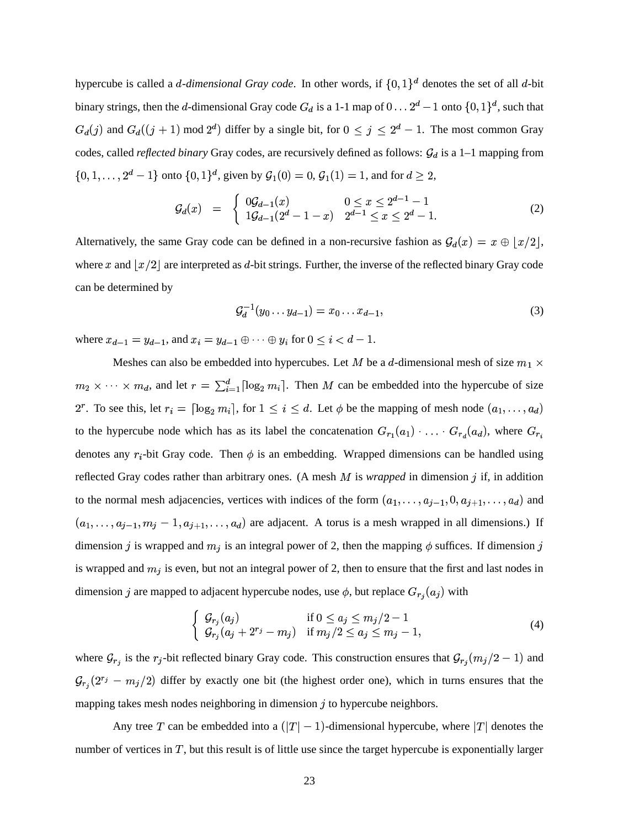hypercube is called a *d-dimensional Gray code*. In other words, if  $\{0,1\}^d$  denotes the set of all *d*-bit binary strings, then the  $d$ -dimensional Gray code  $G_d$  is a 1-1 map of  $0 \dots 2^d-1$  onto  $\{0,1\}^d,$  such that  $G_d(j)$  and  $G_d((j + 1) \mod 2^d)$  differ by a single bit, for  $0 \leq j \leq 2^d - 1$ .  $\leq 2^d - 1$ . The most common Gray codes, called *reflected binary* Gray codes, are recursively defined as follows:  $\mathcal{G}_d$  is a 1–1 mapping from "!  $\blacksquare$  $2^d-1\}$  onto  $\{0,1\}^d$ , given by  $\mathcal{G}_1(0)=0$ ,  $\mathcal{G}_1(1)=1$ , a  $0, \mathcal{G}_1(1) = 1$ , and for  $d \geq 2$ ,

$$
\mathcal{G}_d(x) = \begin{cases} 0\mathcal{G}_{d-1}(x) & 0 \le x \le 2^{d-1} - 1 \\ 1\mathcal{G}_{d-1}(2^d - 1 - x) & 2^{d-1} \le x \le 2^d - 1. \end{cases} \tag{2}
$$

Alternatively, the same Gray code can be defined in a non-recursive fashion as  $\mathcal{G}_d(x) = x \oplus \lfloor x/2 \rfloor$ ,  $x \oplus \lfloor x/2 \rfloor$ , where x and  $\lfloor x/2 \rfloor$  are interpreted as d-bit strings. Further, the inverse of the reflected binary Gray code can be determined by

$$
\mathcal{G}_d^{-1}(y_0 \dots y_{d-1}) = x_0 \dots x_{d-1},\tag{3}
$$

where  $x_{d-1} = y_{d-1}$ , and  $x_i = y_{d-1} \oplus \cdots \oplus y_i$  for  $0 \le i < d-1$ .

Meshes can also be embedded into hypercubes. Let M be a d-dimensional mesh of size  $m_1 \times$  $m_2 \times \cdots \times m_d$ , and let  $r = \sum_{i=1}^d \lceil \log_2 m_i \rceil$ . Then M can be embedded into the hypercube of size 2<sup>r</sup>. To see this, let  $r_i = \lceil \log_2 m_i \rceil$ , for  $1 \leq i \leq d$ . Let  $\phi$  be the mapping of mesh node  $(a_1, \ldots, a_d)$  to the hypercube node which has as its label the concatenation  $G_{r_1}(a_1) \cdot \ldots \cdot G_r$  $G_{r_d}(a_d)$ , where  $G_{r_i}$ denotes any  $r_i$ -bit Gray code. Then  $\phi$  is an embedding. Wrapped dimensions can be handled using reflected Gray codes rather than arbitrary ones. (A mesh  $M$  is *wrapped* in dimension  $j$  if, in addition to the normal mesh adjacencies, vertices with indices of the form  $(a_1, \ldots, a_{i-1}, 0, a_{i+1}, \ldots, a_d)$  and  $a_{i-1}, a_{i-1}, m_i-1, a_{i+1}, \ldots, a_i$  $(a_{i+1},..., a_d)$  are adjacent. A torus is a mesh wrapped in all dimensions.) If dimension j is wrapped and  $m_j$  is an integral power of 2, then the mapping  $\phi$  suffices. If dimension j is wrapped and  $m_i$  is even, but not an integral power of 2, then to ensure that the first and last nodes in dimension  $j$  are mapped to adjacent hypercube nodes, use  $\phi$ , but replace  $G_{r_j}(a_j)$  with

$$
\begin{cases}\n\mathcal{G}_{r_j}(a_j) & \text{if } 0 \le a_j \le m_j/2 - 1 \\
\mathcal{G}_{r_j}(a_j + 2^{r_j} - m_j) & \text{if } m_j/2 \le a_j \le m_j - 1,\n\end{cases}
$$
\n(4)

where  $\mathcal{G}_{r_j}$  is the  $r_j$ -bit reflected binary Gray code. This construction ensures that  $\mathcal{G}_{r_j}(m_j/2-1)$  and  $\mathcal{G}_{r_j}(2^{r_j} - m_j/2)$  differ by exactly one bit (the highest order one), which in turns ensures that the mapping takes mesh nodes neighboring in dimension  $j$  to hypercube neighbors.

Any tree T can be embedded into a  $(|T|-1)$ -dimensional hypercube, where  $|T|$  denotes the number of vertices in  $T$ , but this result is of little use since the target hypercube is exponentially larger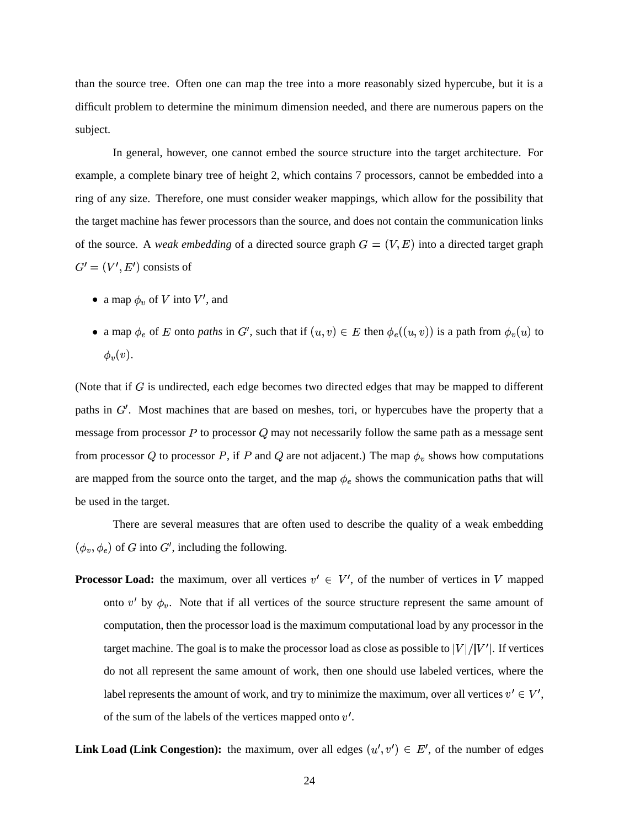than the source tree. Often one can map the tree into a more reasonably sized hypercube, but it is a difficult problem to determine the minimum dimension needed, and there are numerous papers on the subject.

In general, however, one cannot embed the source structure into the target architecture. For example, a complete binary tree of height 2, which contains 7 processors, cannot be embedded into a ring of any size. Therefore, one must consider weaker mappings, which allow for the possibility that the target machine has fewer processors than the source, and does not contain the communication links of the source. A *weak embedding* of a directed source graph  $G = (V, E)$  into a directed target graph  $G' = (V', E')$  consists of  $,E'$ ) consists of

- a map  $\phi_v$  of V into V', and
- a map  $\phi_e$  of E onto *paths* in G', such that if  $(u, v) \in E$  then  $\phi_e((u, v))$  is a pat  $(v, v)$  is a path from  $\phi_v(u)$  to  $\phi_v(v)$ .

(Note that if  $G$  is undirected, each edge becomes two directed edges that may be mapped to different paths in  $G'$ . Most machines that are based on meshes, tori, or hypercubes have the property that a message from processor  $P$  to processor  $Q$  may not necessarily follow the same path as a message sent from processor Q to processor P, if P and Q are not adjacent.) The map  $\phi_v$  shows how computations are mapped from the source onto the target, and the map  $\phi_e$  shows the communication paths that will be used in the target.

There are several measures that are often used to describe the quality of a weak embedding . *. . .* . . . - .  $\phi_e$ ) of G into G', including the following.

**Processor Load:** the maximum, over all vertices  $v' \in V'$ , of the number of vertices in V mapped onto  $v'$  by  $\phi_v$ . Note that if all vertices of the source structure represent the same amount of computation, then the processor load is the maximum computational load by any processor in the target machine. The goal is to make the processor load as close as possible to  $|V|/|V'|$ . If vertices do not all represent the same amount of work, then one should use labeled vertices, where the label represents the amount of work, and try to minimize the maximum, over all vertices  $v' \in V'$ , of the sum of the labels of the vertices mapped onto  $v'$ .

**Link Load (Link Congestion):** the maximum, over all edges  $(u', v') \in E'$ , of the number of edges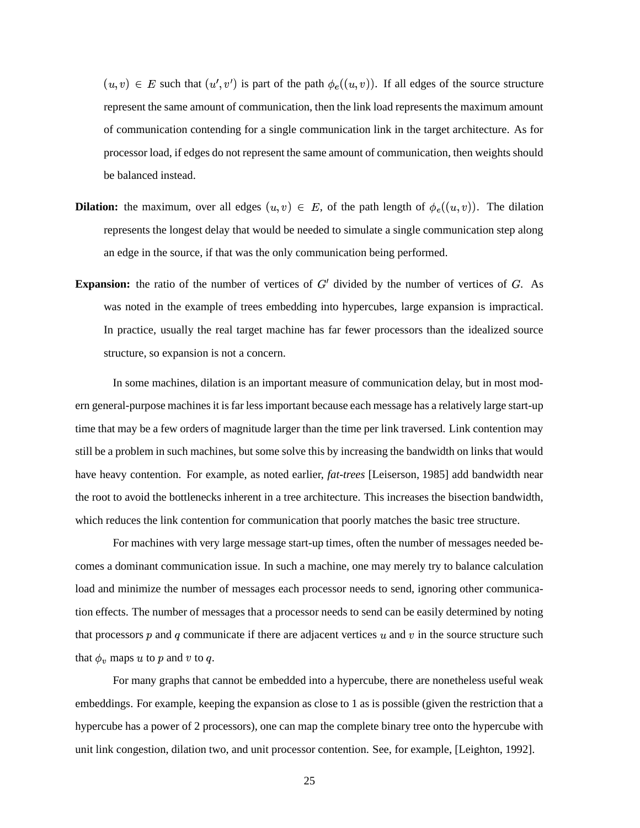$(v, v) \in E$  such that  $(u', v')$  is part of the path  $\phi_e((u, v))$ . If all  $(v)$ ). If all edges of the source structure represent the same amount of communication, then the link load represents the maximum amount of communication contending for a single communication link in the target architecture. As for processor load, if edges do not represent the same amount of communication, then weights should be balanced instead.

- **Dilation:** the maximum, over all edges  $(u, v) \in E$ , of the path length of  $\phi_e((u, v))$ . The dilation represents the longest delay that would be needed to simulate a single communication step along an edge in the source, if that was the only communication being performed.
- **Expansion:** the ratio of the number of vertices of  $G'$  divided by the number of vertices of  $G$ . As was noted in the example of trees embedding into hypercubes, large expansion is impractical. In practice, usually the real target machine has far fewer processors than the idealized source structure, so expansion is not a concern.

In some machines, dilation is an important measure of communication delay, but in most modern general-purpose machinesit is far lessimportant because each message has a relatively large start-up time that may be a few orders of magnitude larger than the time per link traversed. Link contention may still be a problem in such machines, but some solve this by increasing the bandwidth on links that would have heavy contention. For example, as noted earlier, *fat-trees* [Leiserson, 1985] add bandwidth near the root to avoid the bottlenecks inherent in a tree architecture. This increases the bisection bandwidth, which reduces the link contention for communication that poorly matches the basic tree structure.

For machines with very large message start-up times, often the number of messages needed becomes a dominant communication issue. In such a machine, one may merely try to balance calculation load and minimize the number of messages each processor needs to send, ignoring other communication effects. The number of messages that a processor needs to send can be easily determined by noting that processors  $p$  and  $q$  communicate if there are adjacent vertices  $u$  and  $v$  in the source structure such that  $\phi_v$  maps u to p and v to q.

For many graphs that cannot be embedded into a hypercube, there are nonetheless useful weak embeddings. For example, keeping the expansion as close to 1 as is possible (given the restriction that a hypercube has a power of 2 processors), one can map the complete binary tree onto the hypercube with unit link congestion, dilation two, and unit processor contention. See, for example, [Leighton, 1992].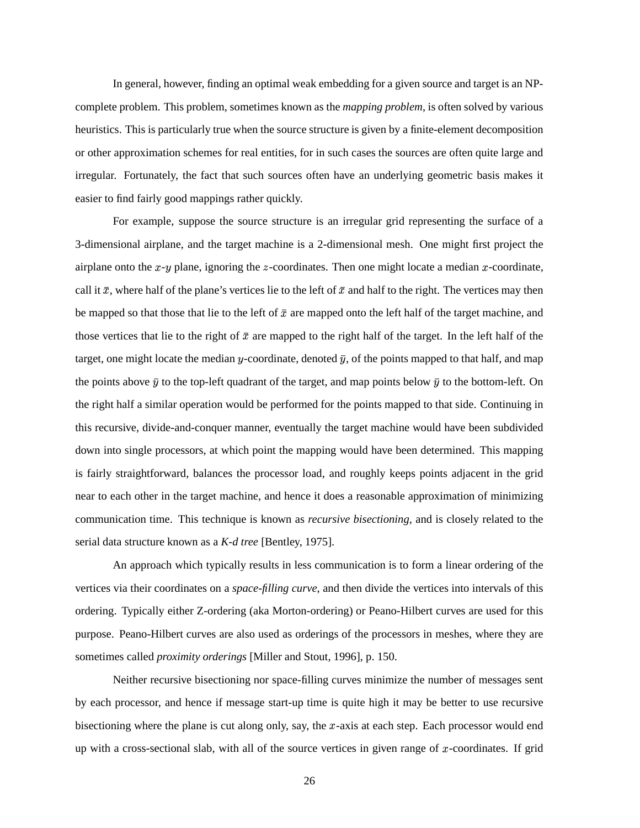In general, however, finding an optimal weak embedding for a given source and target is an NPcomplete problem. This problem, sometimes known as the *mapping problem*, is often solved by various heuristics. This is particularly true when the source structure is given by a finite-element decomposition or other approximation schemes for real entities, for in such cases the sources are often quite large and irregular. Fortunately, the fact that such sources often have an underlying geometric basis makes it easier to find fairly good mappings rather quickly.

For example, suppose the source structure is an irregular grid representing the surface of a 3-dimensional airplane, and the target machine is a 2-dimensional mesh. One might first project the airplane onto the  $x-y$  plane, ignoring the z-coordinates. Then one might locate a median  $x$ -coordinate, call it  $\bar{x}$ , where half of the plane's vertices lie to the left of  $\bar{x}$  and half to the right. The vertices may then be mapped so that those that lie to the left of  $\bar{x}$  are mapped onto the left half of the target machine, and those vertices that lie to the right of  $\bar{x}$  are mapped to the right half of the target. In the left half of the target, one might locate the median y-coordinate, denoted  $\bar{y}$ , of the points mapped to that half, and map the points above  $\bar{y}$  to the top-left quadrant of the target, and map points below  $\bar{y}$  to the bottom-left. On the right half a similar operation would be performed for the points mapped to that side. Continuing in this recursive, divide-and-conquer manner, eventually the target machine would have been subdivided down into single processors, at which point the mapping would have been determined. This mapping is fairly straightforward, balances the processor load, and roughly keeps points adjacent in the grid near to each other in the target machine, and hence it does a reasonable approximation of minimizing communication time. This technique is known as *recursive bisectioning*, and is closely related to the serial data structure known as a *K-d tree* [Bentley, 1975].

An approach which typically results in less communication is to form a linear ordering of the vertices via their coordinates on a *space-filling curve*, and then divide the vertices into intervals of this ordering. Typically either Z-ordering (aka Morton-ordering) or Peano-Hilbert curves are used for this purpose. Peano-Hilbert curves are also used as orderings of the processors in meshes, where they are sometimes called *proximity orderings* [Miller and Stout, 1996], p. 150.

Neither recursive bisectioning nor space-filling curves minimize the number of messages sent by each processor, and hence if message start-up time is quite high it may be better to use recursive bisectioning where the plane is cut along only, say, the  $x$ -axis at each step. Each processor would end up with a cross-sectional slab, with all of the source vertices in given range of  $x$ -coordinates. If grid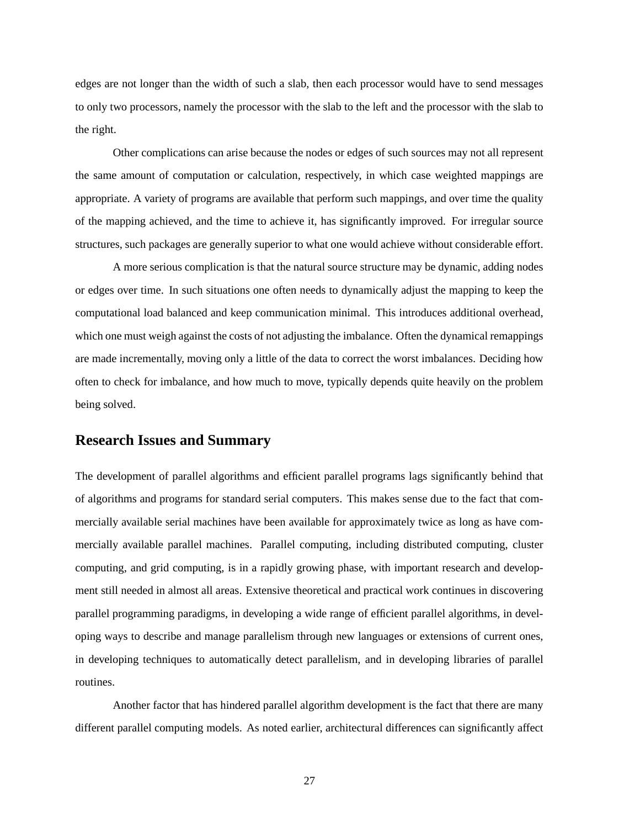edges are not longer than the width of such a slab, then each processor would have to send messages to only two processors, namely the processor with the slab to the left and the processor with the slab to the right.

Other complications can arise because the nodes or edges of such sources may not all represent the same amount of computation or calculation, respectively, in which case weighted mappings are appropriate. A variety of programs are available that perform such mappings, and over time the quality of the mapping achieved, and the time to achieve it, has significantly improved. For irregular source structures, such packages are generally superior to what one would achieve without considerable effort.

A more serious complication is that the natural source structure may be dynamic, adding nodes or edges over time. In such situations one often needs to dynamically adjust the mapping to keep the computational load balanced and keep communication minimal. This introduces additional overhead, which one must weigh against the costs of not adjusting the imbalance. Often the dynamical remappings are made incrementally, moving only a little of the data to correct the worst imbalances. Deciding how often to check for imbalance, and how much to move, typically depends quite heavily on the problem being solved.

#### **Research Issues and Summary**

The development of parallel algorithms and efficient parallel programs lags significantly behind that of algorithms and programs for standard serial computers. This makes sense due to the fact that commercially available serial machines have been available for approximately twice as long as have commercially available parallel machines. Parallel computing, including distributed computing, cluster computing, and grid computing, is in a rapidly growing phase, with important research and development still needed in almost all areas. Extensive theoretical and practical work continues in discovering parallel programming paradigms, in developing a wide range of efficient parallel algorithms, in developing ways to describe and manage parallelism through new languages or extensions of current ones, in developing techniques to automatically detect parallelism, and in developing libraries of parallel routines.

Another factor that has hindered parallel algorithm development is the fact that there are many different parallel computing models. As noted earlier, architectural differences can significantly affect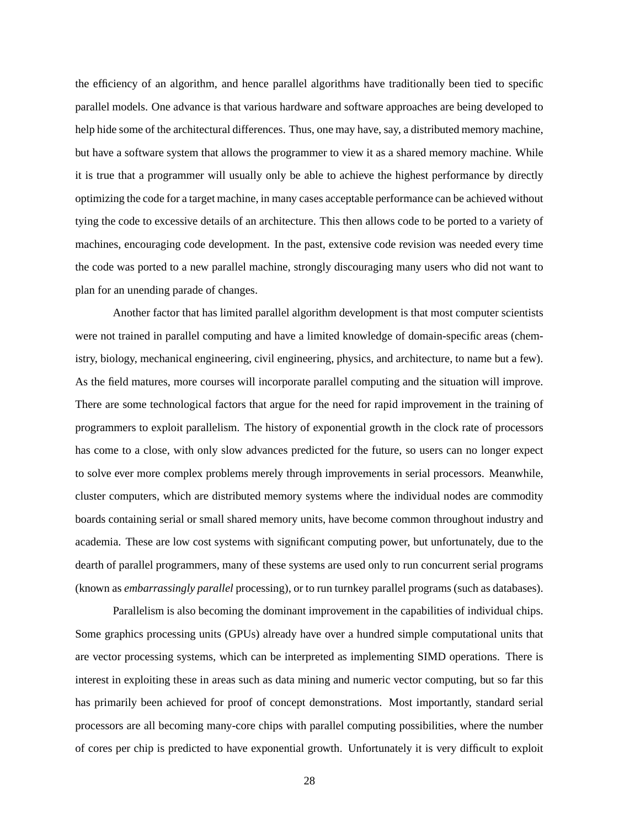the efficiency of an algorithm, and hence parallel algorithms have traditionally been tied to specific parallel models. One advance is that various hardware and software approaches are being developed to help hide some of the architectural differences. Thus, one may have, say, a distributed memory machine, but have a software system that allows the programmer to view it as a shared memory machine. While it is true that a programmer will usually only be able to achieve the highest performance by directly optimizing the code for a target machine, in many cases acceptable performance can be achieved without tying the code to excessive details of an architecture. This then allows code to be ported to a variety of machines, encouraging code development. In the past, extensive code revision was needed every time the code was ported to a new parallel machine, strongly discouraging many users who did not want to plan for an unending parade of changes.

Another factor that has limited parallel algorithm development is that most computer scientists were not trained in parallel computing and have a limited knowledge of domain-specific areas (chemistry, biology, mechanical engineering, civil engineering, physics, and architecture, to name but a few). As the field matures, more courses will incorporate parallel computing and the situation will improve. There are some technological factors that argue for the need for rapid improvement in the training of programmers to exploit parallelism. The history of exponential growth in the clock rate of processors has come to a close, with only slow advances predicted for the future, so users can no longer expect to solve ever more complex problems merely through improvements in serial processors. Meanwhile, cluster computers, which are distributed memory systems where the individual nodes are commodity boards containing serial or small shared memory units, have become common throughout industry and academia. These are low cost systems with significant computing power, but unfortunately, due to the dearth of parallel programmers, many of these systems are used only to run concurrent serial programs (known as *embarrassingly parallel* processing), or to run turnkey parallel programs (such as databases).

Parallelism is also becoming the dominant improvement in the capabilities of individual chips. Some graphics processing units (GPUs) already have over a hundred simple computational units that are vector processing systems, which can be interpreted as implementing SIMD operations. There is interest in exploiting these in areas such as data mining and numeric vector computing, but so far this has primarily been achieved for proof of concept demonstrations. Most importantly, standard serial processors are all becoming many-core chips with parallel computing possibilities, where the number of cores per chip is predicted to have exponential growth. Unfortunately it is very difficult to exploit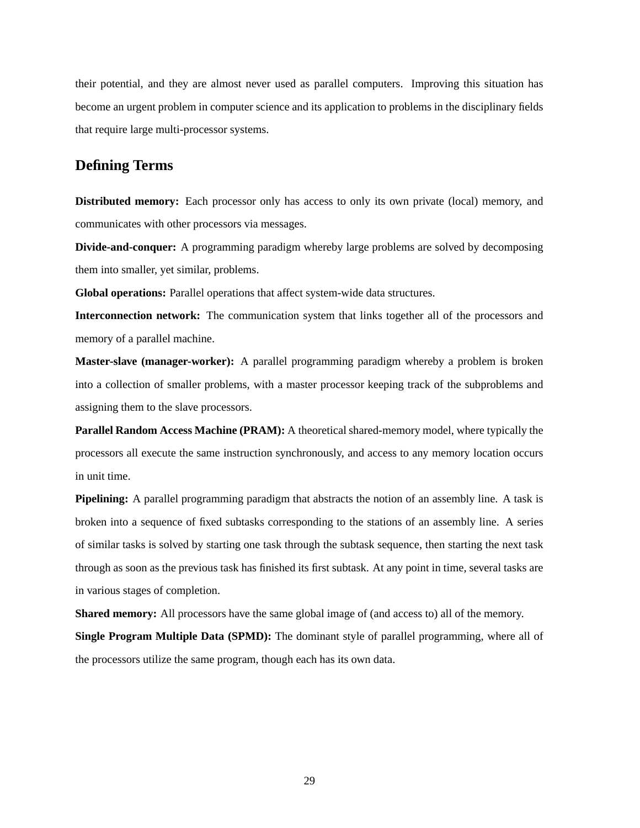their potential, and they are almost never used as parallel computers. Improving this situation has become an urgent problem in computer science and its application to problems in the disciplinary fields that require large multi-processor systems.

# **Defining Terms**

**Distributed memory:** Each processor only has access to only its own private (local) memory, and communicates with other processors via messages.

**Divide-and-conquer:** A programming paradigm whereby large problems are solved by decomposing them into smaller, yet similar, problems.

**Global operations:** Parallel operations that affect system-wide data structures.

**Interconnection network:** The communication system that links together all of the processors and memory of a parallel machine.

**Master-slave (manager-worker):** A parallel programming paradigm whereby a problem is broken into a collection of smaller problems, with a master processor keeping track of the subproblems and assigning them to the slave processors.

**Parallel Random Access Machine (PRAM):** A theoretical shared-memory model, where typically the processors all execute the same instruction synchronously, and access to any memory location occurs in unit time.

**Pipelining:** A parallel programming paradigm that abstracts the notion of an assembly line. A task is broken into a sequence of fixed subtasks corresponding to the stations of an assembly line. A series of similar tasks is solved by starting one task through the subtask sequence, then starting the next task through as soon as the previous task has finished its first subtask. At any point in time, several tasks are in various stages of completion.

**Shared memory:** All processors have the same global image of (and access to) all of the memory.

**Single Program Multiple Data (SPMD):** The dominant style of parallel programming, where all of the processors utilize the same program, though each has its own data.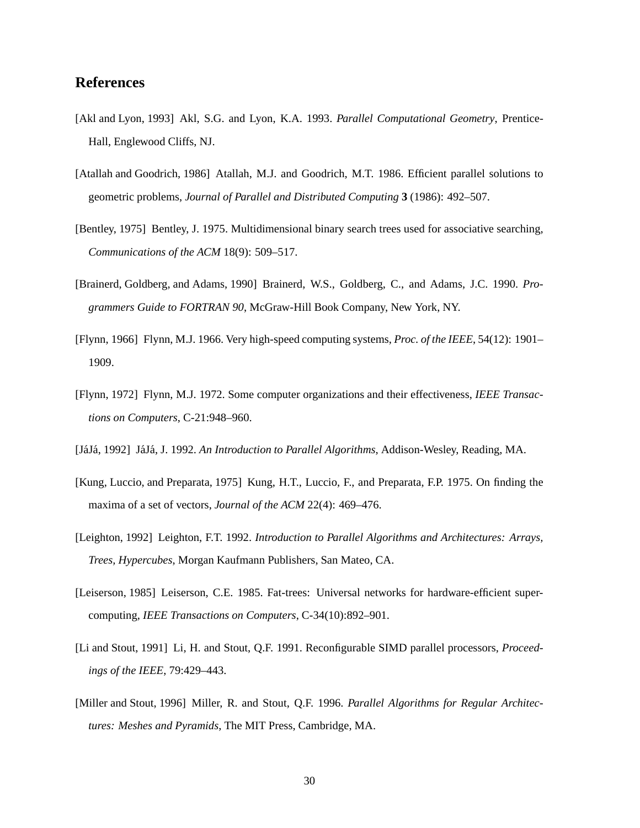# **References**

- [Akl and Lyon, 1993] Akl, S.G. and Lyon, K.A. 1993. *Parallel Computational Geometry*, Prentice-Hall, Englewood Cliffs, NJ.
- [Atallah and Goodrich, 1986] Atallah, M.J. and Goodrich, M.T. 1986. Efficient parallel solutions to geometric problems, *Journal of Parallel and Distributed Computing* **3** (1986): 492–507.
- [Bentley, 1975] Bentley, J. 1975. Multidimensional binary search trees used for associative searching, *Communications of the ACM* 18(9): 509–517.
- [Brainerd, Goldberg, and Adams, 1990] Brainerd, W.S., Goldberg, C., and Adams, J.C. 1990. *Programmers Guide to FORTRAN 90*, McGraw-Hill Book Company, New York, NY.
- [Flynn, 1966] Flynn, M.J. 1966. Very high-speed computing systems, *Proc. of the IEEE*, 54(12): 1901– 1909.
- [Flynn, 1972] Flynn, M.J. 1972. Some computer organizations and their effectiveness, *IEEE Transactions on Computers*, C-21:948–960.
- [JaJ´ a,´ 1992] JaJ´ a,´ J. 1992. *An Introduction to Parallel Algorithms*, Addison-Wesley, Reading, MA.
- [Kung, Luccio, and Preparata, 1975] Kung, H.T., Luccio, F., and Preparata, F.P. 1975. On finding the maxima of a set of vectors, *Journal of the ACM* 22(4): 469–476.
- [Leighton, 1992] Leighton, F.T. 1992. *Introduction to Parallel Algorithms and Architectures: Arrays, Trees, Hypercubes*, Morgan Kaufmann Publishers, San Mateo, CA.
- [Leiserson, 1985] Leiserson, C.E. 1985. Fat-trees: Universal networks for hardware-efficient supercomputing, *IEEE Transactions on Computers*, C-34(10):892–901.
- [Li and Stout, 1991] Li, H. and Stout, Q.F. 1991. Reconfigurable SIMD parallel processors, *Proceedings of the IEEE*, 79:429–443.
- [Miller and Stout, 1996] Miller, R. and Stout, Q.F. 1996. *Parallel Algorithms for Regular Architectures: Meshes and Pyramids*, The MIT Press, Cambridge, MA.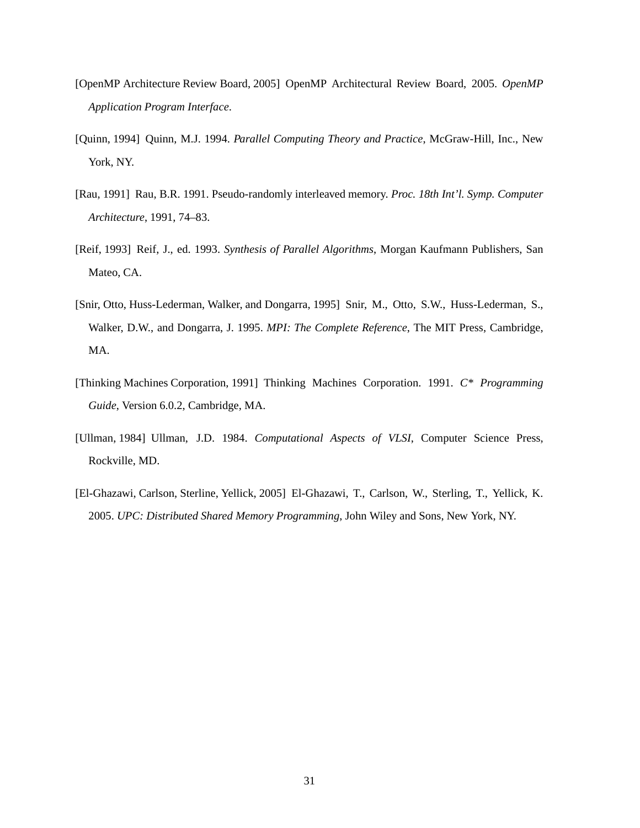- [OpenMP Architecture Review Board, 2005] OpenMP Architectural Review Board, 2005. *OpenMP Application Program Interface*.
- [Quinn, 1994] Quinn, M.J. 1994. *Parallel Computing Theory and Practice*, McGraw-Hill, Inc., New York, NY.
- [Rau, 1991] Rau, B.R. 1991. Pseudo-randomly interleaved memory. *Proc. 18th Int'l. Symp. Computer Architecture*, 1991, 74–83.
- [Reif, 1993] Reif, J., ed. 1993. *Synthesis of Parallel Algorithms*, Morgan Kaufmann Publishers, San Mateo, CA.
- [Snir, Otto, Huss-Lederman, Walker, and Dongarra, 1995] Snir, M., Otto, S.W., Huss-Lederman, S., Walker, D.W., and Dongarra, J. 1995. *MPI: The Complete Reference*, The MIT Press, Cambridge, MA.
- [Thinking Machines Corporation, 1991] Thinking Machines Corporation. 1991. *C\* Programming Guide*, Version 6.0.2, Cambridge, MA.
- [Ullman, 1984] Ullman, J.D. 1984. *Computational Aspects of VLSI*, Computer Science Press, Rockville, MD.
- [El-Ghazawi, Carlson, Sterline, Yellick, 2005] El-Ghazawi, T., Carlson, W., Sterling, T., Yellick, K. 2005. *UPC: Distributed Shared Memory Programming*, John Wiley and Sons, New York, NY.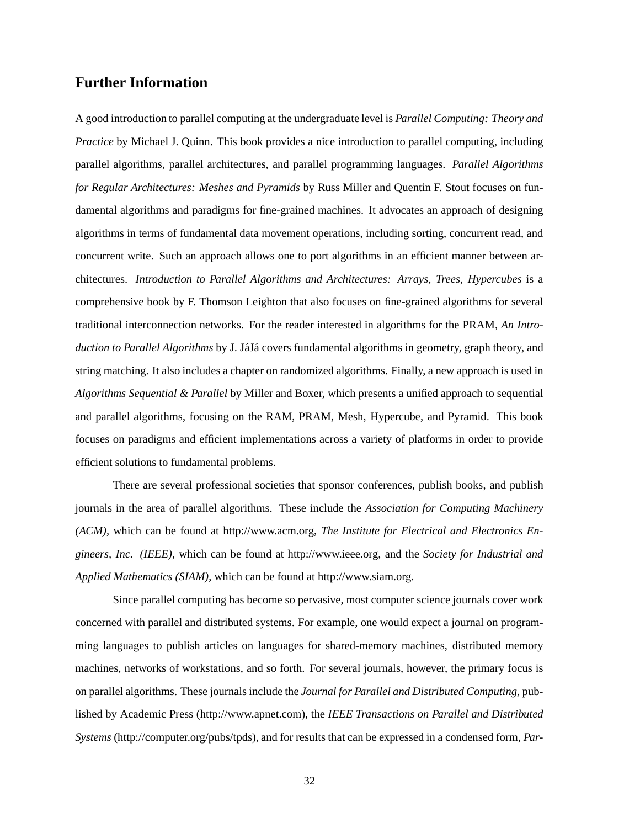# **Further Information**

A good introduction to parallel computing at the undergraduate level is *Parallel Computing: Theory and Practice* by Michael J. Quinn. This book provides a nice introduction to parallel computing, including parallel algorithms, parallel architectures, and parallel programming languages. *Parallel Algorithms for Regular Architectures: Meshes and Pyramids* by Russ Miller and Quentin F. Stout focuses on fundamental algorithms and paradigms for fine-grained machines. It advocates an approach of designing algorithms in terms of fundamental data movement operations, including sorting, concurrent read, and concurrent write. Such an approach allows one to port algorithms in an efficient manner between architectures. *Introduction to Parallel Algorithms and Architectures: Arrays, Trees, Hypercubes* is a comprehensive book by F. Thomson Leighton that also focuses on fine-grained algorithms for several traditional interconnection networks. For the reader interested in algorithms for the PRAM, *An Introduction to Parallel Algorithms* by J. JáJá covers fundamental algorithms in geometry, graph theory, and string matching. It also includes a chapter on randomized algorithms. Finally, a new approach is used in *Algorithms Sequential & Parallel* by Miller and Boxer, which presents a unified approach to sequential and parallel algorithms, focusing on the RAM, PRAM, Mesh, Hypercube, and Pyramid. This book focuses on paradigms and efficient implementations across a variety of platforms in order to provide efficient solutions to fundamental problems.

There are several professional societies that sponsor conferences, publish books, and publish journals in the area of parallel algorithms. These include the *Association for Computing Machinery (ACM)*, which can be found at http://www.acm.org, *The Institute for Electrical and Electronics Engineers, Inc. (IEEE)*, which can be found at http://www.ieee.org, and the *Society for Industrial and Applied Mathematics (SIAM)*, which can be found at http://www.siam.org.

Since parallel computing has become so pervasive, most computer science journals cover work concerned with parallel and distributed systems. For example, one would expect a journal on programming languages to publish articles on languages for shared-memory machines, distributed memory machines, networks of workstations, and so forth. For several journals, however, the primary focus is on parallel algorithms. These journals include the *Journal for Parallel and Distributed Computing*, published by Academic Press (http://www.apnet.com), the *IEEE Transactions on Parallel and Distributed Systems* (http://computer.org/pubs/tpds), and for results that can be expressed in a condensed form, *Par-*